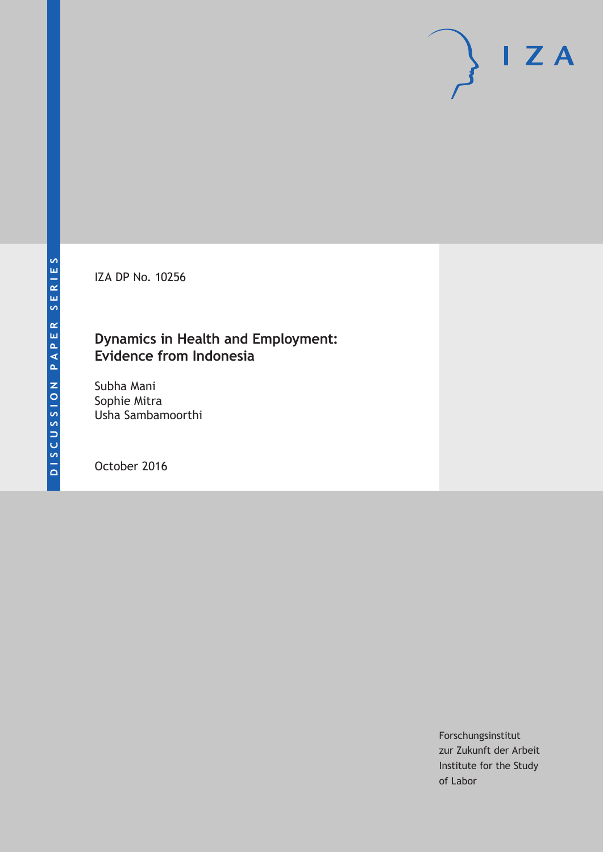IZA DP No. 10256

# **Dynamics in Health and Employment: Evidence from Indonesia**

Subha Mani Sophie Mitra Usha Sambamoorthi

October 2016

Forschungsinstitut zur Zukunft der Arbeit Institute for the Study of Labor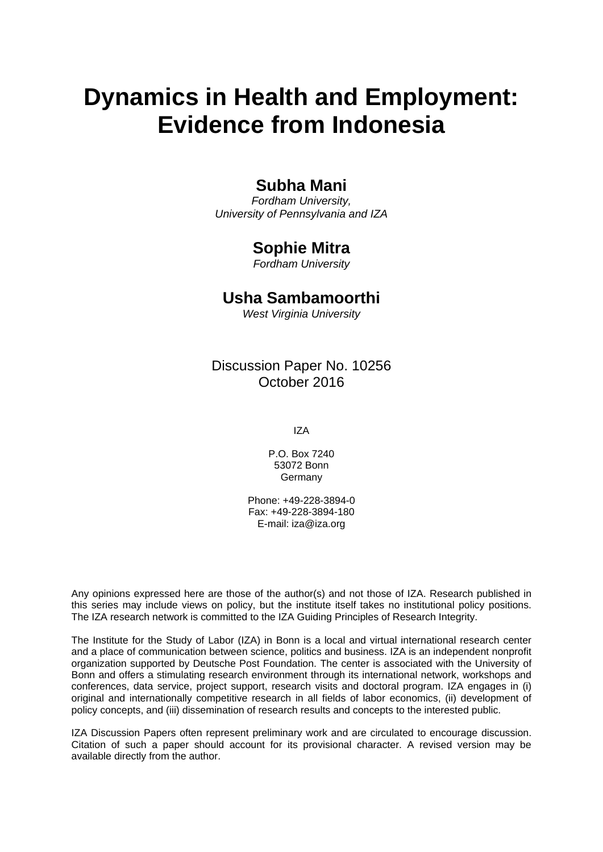# **Dynamics in Health and Employment: Evidence from Indonesia**

# **Subha Mani**

*Fordham University, University of Pennsylvania and IZA* 

# **Sophie Mitra**

*Fordham University* 

# **Usha Sambamoorthi**

*West Virginia University*

# Discussion Paper No. 10256 October 2016

IZA

P.O. Box 7240 53072 Bonn Germany

Phone: +49-228-3894-0 Fax: +49-228-3894-180 E-mail: iza@iza.org

Any opinions expressed here are those of the author(s) and not those of IZA. Research published in this series may include views on policy, but the institute itself takes no institutional policy positions. The IZA research network is committed to the IZA Guiding Principles of Research Integrity.

The Institute for the Study of Labor (IZA) in Bonn is a local and virtual international research center and a place of communication between science, politics and business. IZA is an independent nonprofit organization supported by Deutsche Post Foundation. The center is associated with the University of Bonn and offers a stimulating research environment through its international network, workshops and conferences, data service, project support, research visits and doctoral program. IZA engages in (i) original and internationally competitive research in all fields of labor economics, (ii) development of policy concepts, and (iii) dissemination of research results and concepts to the interested public.

IZA Discussion Papers often represent preliminary work and are circulated to encourage discussion. Citation of such a paper should account for its provisional character. A revised version may be available directly from the author.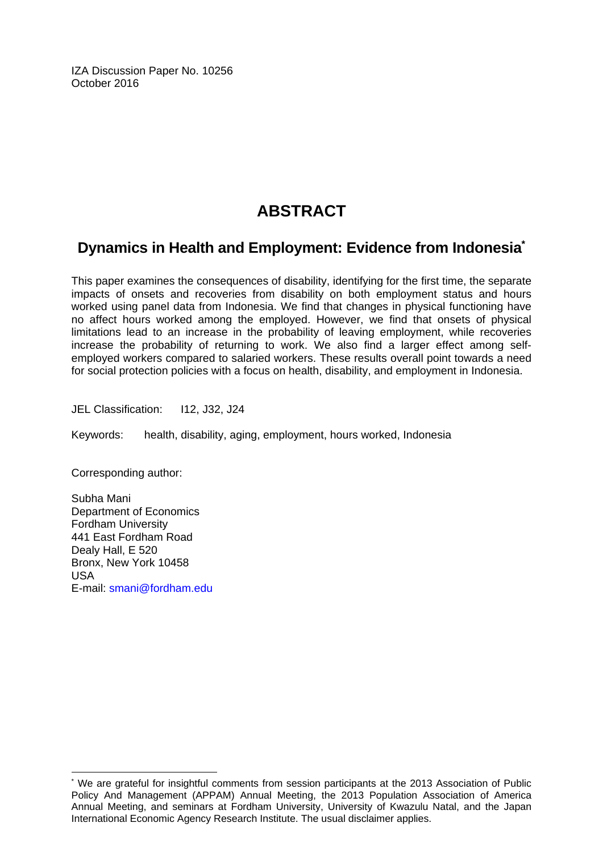IZA Discussion Paper No. 10256 October 2016

# **ABSTRACT**

# **Dynamics in Health and Employment: Evidence from Indonesia\***

This paper examines the consequences of disability, identifying for the first time, the separate impacts of onsets and recoveries from disability on both employment status and hours worked using panel data from Indonesia. We find that changes in physical functioning have no affect hours worked among the employed. However, we find that onsets of physical limitations lead to an increase in the probability of leaving employment, while recoveries increase the probability of returning to work. We also find a larger effect among selfemployed workers compared to salaried workers. These results overall point towards a need for social protection policies with a focus on health, disability, and employment in Indonesia.

JEL Classification: I12, J32, J24

Keywords: health, disability, aging, employment, hours worked, Indonesia

Corresponding author:

 $\overline{a}$ 

Subha Mani Department of Economics Fordham University 441 East Fordham Road Dealy Hall, E 520 Bronx, New York 10458 USA E-mail: smani@fordham.edu

<sup>\*</sup> We are grateful for insightful comments from session participants at the 2013 Association of Public Policy And Management (APPAM) Annual Meeting, the 2013 Population Association of America Annual Meeting, and seminars at Fordham University, University of Kwazulu Natal, and the Japan International Economic Agency Research Institute. The usual disclaimer applies.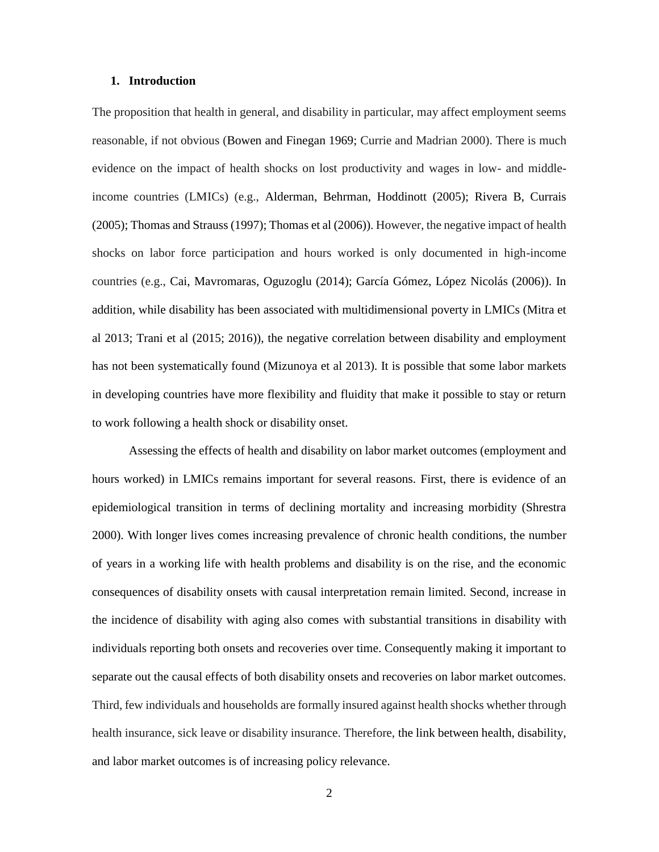#### **1. Introduction**

The proposition that health in general, and disability in particular, may affect employment seems reasonable, if not obvious (Bowen and Finegan 1969; Currie and Madrian 2000). There is much evidence on the impact of health shocks on lost productivity and wages in low- and middleincome countries (LMICs) (e.g., Alderman, Behrman, Hoddinott (2005); Rivera B, Currais (2005); Thomas and Strauss (1997); Thomas et al (2006)). However, the negative impact of health shocks on labor force participation and hours worked is only documented in high-income countries (e.g., Cai, Mavromaras, Oguzoglu (2014); García Gómez, López Nicolás (2006)). In addition, while disability has been associated with multidimensional poverty in LMICs (Mitra et al 2013; Trani et al (2015; 2016)), the negative correlation between disability and employment has not been systematically found (Mizunoya et al 2013). It is possible that some labor markets in developing countries have more flexibility and fluidity that make it possible to stay or return to work following a health shock or disability onset.

Assessing the effects of health and disability on labor market outcomes (employment and hours worked) in LMICs remains important for several reasons. First, there is evidence of an epidemiological transition in terms of declining mortality and increasing morbidity (Shrestra 2000). With longer lives comes increasing prevalence of chronic health conditions, the number of years in a working life with health problems and disability is on the rise, and the economic consequences of disability onsets with causal interpretation remain limited. Second, increase in the incidence of disability with aging also comes with substantial transitions in disability with individuals reporting both onsets and recoveries over time. Consequently making it important to separate out the causal effects of both disability onsets and recoveries on labor market outcomes. Third, few individuals and households are formally insured against health shocks whether through health insurance, sick leave or disability insurance. Therefore, the link between health, disability, and labor market outcomes is of increasing policy relevance.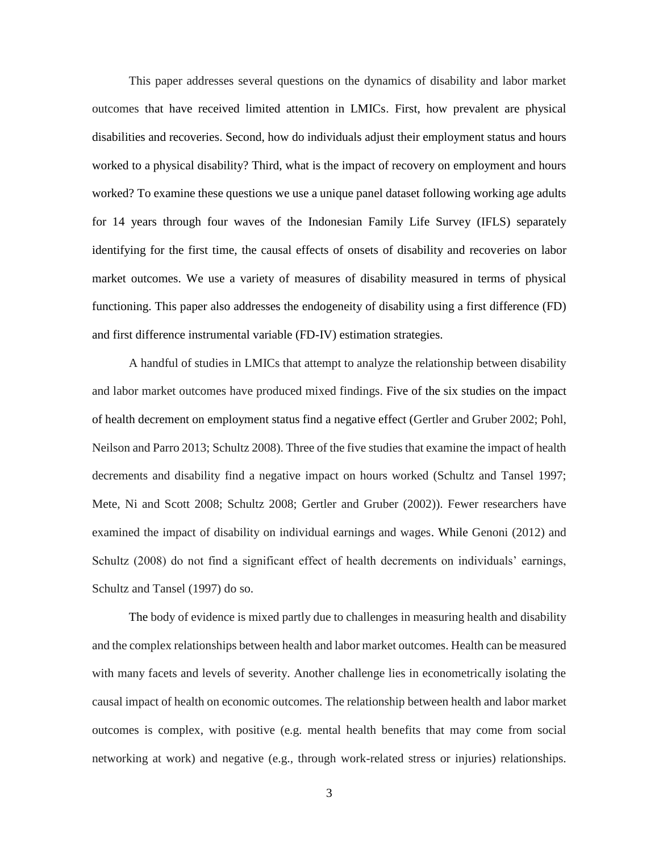This paper addresses several questions on the dynamics of disability and labor market outcomes that have received limited attention in LMICs. First, how prevalent are physical disabilities and recoveries. Second, how do individuals adjust their employment status and hours worked to a physical disability? Third, what is the impact of recovery on employment and hours worked? To examine these questions we use a unique panel dataset following working age adults for 14 years through four waves of the Indonesian Family Life Survey (IFLS) separately identifying for the first time, the causal effects of onsets of disability and recoveries on labor market outcomes. We use a variety of measures of disability measured in terms of physical functioning. This paper also addresses the endogeneity of disability using a first difference (FD) and first difference instrumental variable (FD-IV) estimation strategies.

A handful of studies in LMICs that attempt to analyze the relationship between disability and labor market outcomes have produced mixed findings. Five of the six studies on the impact of health decrement on employment status find a negative effect (Gertler and Gruber 2002; Pohl, Neilson and Parro 2013; Schultz 2008). Three of the five studies that examine the impact of health decrements and disability find a negative impact on hours worked (Schultz and Tansel 1997; Mete, Ni and Scott 2008; Schultz 2008; Gertler and Gruber (2002)). Fewer researchers have examined the impact of disability on individual earnings and wages. While Genoni (2012) and Schultz (2008) do not find a significant effect of health decrements on individuals' earnings, Schultz and Tansel (1997) do so.

The body of evidence is mixed partly due to challenges in measuring health and disability and the complex relationships between health and labor market outcomes. Health can be measured with many facets and levels of severity. Another challenge lies in econometrically isolating the causal impact of health on economic outcomes. The relationship between health and labor market outcomes is complex, with positive (e.g. mental health benefits that may come from social networking at work) and negative (e.g., through work-related stress or injuries) relationships.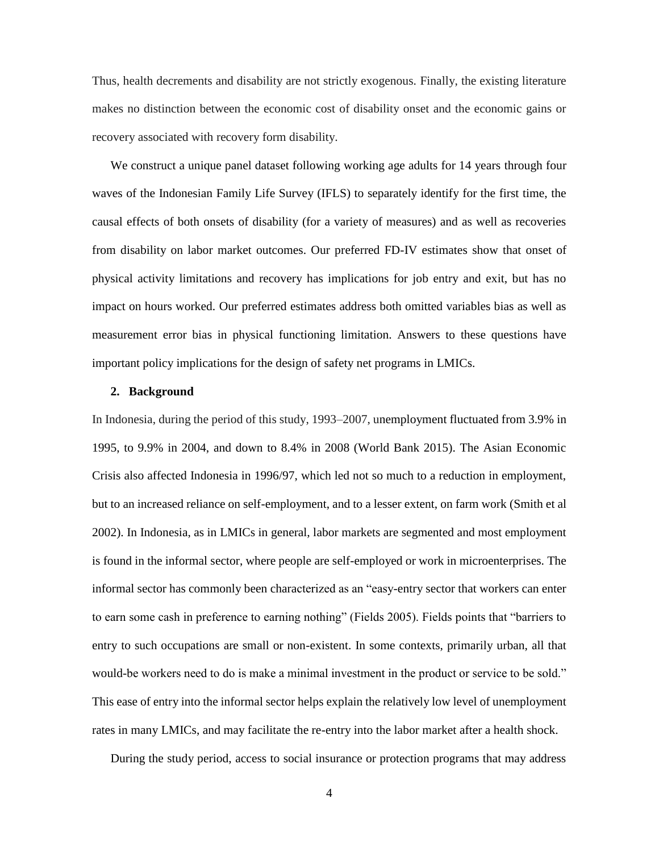Thus, health decrements and disability are not strictly exogenous. Finally, the existing literature makes no distinction between the economic cost of disability onset and the economic gains or recovery associated with recovery form disability.

We construct a unique panel dataset following working age adults for 14 years through four waves of the Indonesian Family Life Survey (IFLS) to separately identify for the first time, the causal effects of both onsets of disability (for a variety of measures) and as well as recoveries from disability on labor market outcomes. Our preferred FD-IV estimates show that onset of physical activity limitations and recovery has implications for job entry and exit, but has no impact on hours worked. Our preferred estimates address both omitted variables bias as well as measurement error bias in physical functioning limitation. Answers to these questions have important policy implications for the design of safety net programs in LMICs.

#### **2. Background**

In Indonesia, during the period of this study, 1993–2007, unemployment fluctuated from 3.9% in 1995, to 9.9% in 2004, and down to 8.4% in 2008 (World Bank 2015). The Asian Economic Crisis also affected Indonesia in 1996/97, which led not so much to a reduction in employment, but to an increased reliance on self-employment, and to a lesser extent, on farm work (Smith et al 2002). In Indonesia, as in LMICs in general, labor markets are segmented and most employment is found in the informal sector, where people are self-employed or work in microenterprises. The informal sector has commonly been characterized as an "easy-entry sector that workers can enter to earn some cash in preference to earning nothing" (Fields 2005). Fields points that "barriers to entry to such occupations are small or non-existent. In some contexts, primarily urban, all that would-be workers need to do is make a minimal investment in the product or service to be sold." This ease of entry into the informal sector helps explain the relatively low level of unemployment rates in many LMICs, and may facilitate the re-entry into the labor market after a health shock.

During the study period, access to social insurance or protection programs that may address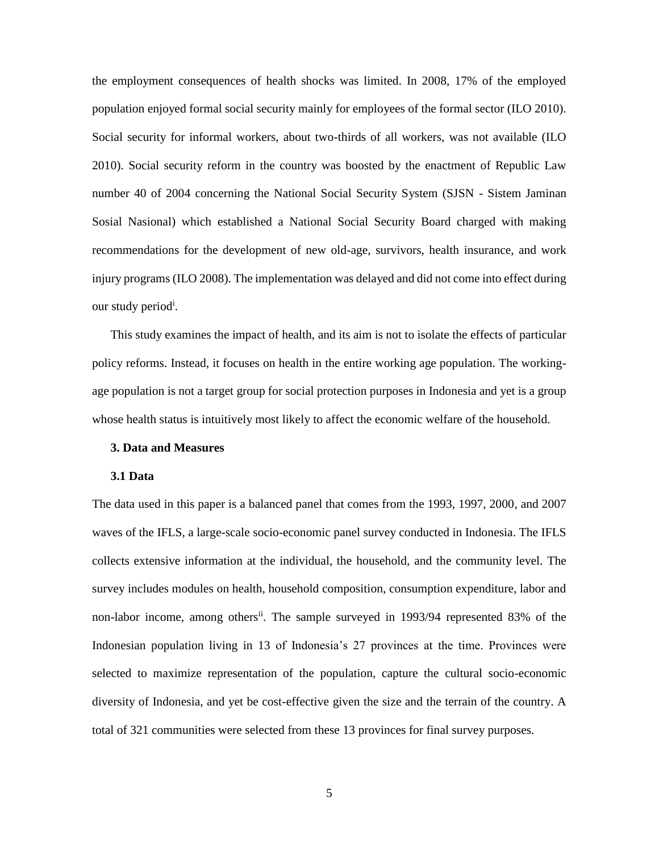the employment consequences of health shocks was limited. In 2008, 17% of the employed population enjoyed formal social security mainly for employees of the formal sector (ILO 2010). Social security for informal workers, about two-thirds of all workers, was not available (ILO 2010). Social security reform in the country was boosted by the enactment of Republic Law number 40 of 2004 concerning the National Social Security System (SJSN - Sistem Jaminan Sosial Nasional) which established a National Social Security Board charged with making recommendations for the development of new old-age, survivors, health insurance, and work injury programs (ILO 2008). The implementation was delayed and did not come into effect during our study period<sup>i</sup>.

This study examines the impact of health, and its aim is not to isolate the effects of particular policy reforms. Instead, it focuses on health in the entire working age population. The workingage population is not a target group for social protection purposes in Indonesia and yet is a group whose health status is intuitively most likely to affect the economic welfare of the household.

#### **3. Data and Measures**

#### **3.1 Data**

The data used in this paper is a balanced panel that comes from the 1993, 1997, 2000, and 2007 waves of the IFLS, a large-scale socio-economic panel survey conducted in Indonesia. The IFLS collects extensive information at the individual, the household, and the community level. The survey includes modules on health, household composition, consumption expenditure, labor and non-labor income, among others<sup>ii</sup>. The sample surveyed in 1993/94 represented 83% of the Indonesian population living in 13 of Indonesia's 27 provinces at the time. Provinces were selected to maximize representation of the population, capture the cultural socio-economic diversity of Indonesia, and yet be cost-effective given the size and the terrain of the country. A total of 321 communities were selected from these 13 provinces for final survey purposes.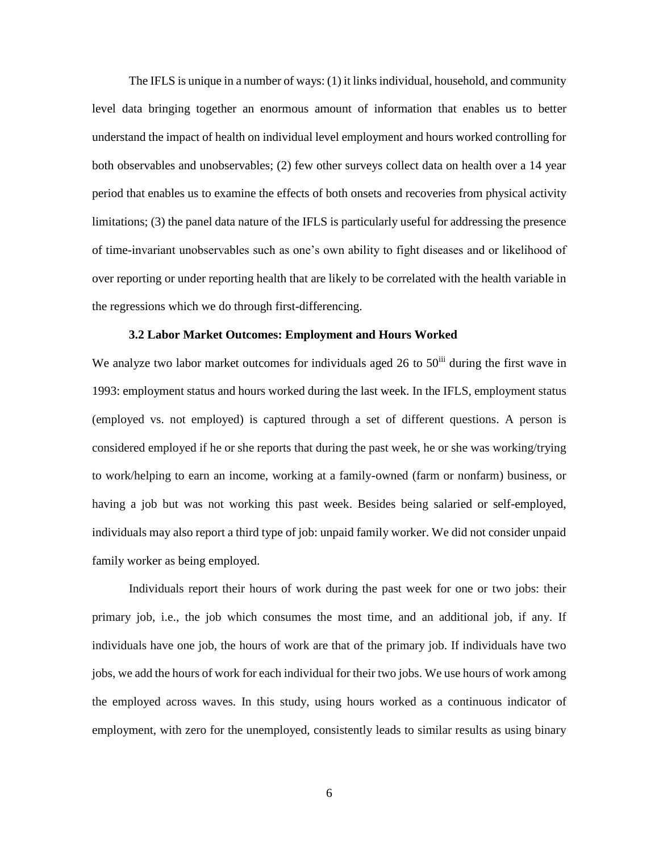The IFLS is unique in a number of ways: (1) it links individual, household, and community level data bringing together an enormous amount of information that enables us to better understand the impact of health on individual level employment and hours worked controlling for both observables and unobservables; (2) few other surveys collect data on health over a 14 year period that enables us to examine the effects of both onsets and recoveries from physical activity limitations; (3) the panel data nature of the IFLS is particularly useful for addressing the presence of time-invariant unobservables such as one's own ability to fight diseases and or likelihood of over reporting or under reporting health that are likely to be correlated with the health variable in the regressions which we do through first-differencing.

### **3.2 Labor Market Outcomes: Employment and Hours Worked**

We analyze two labor market outcomes for individuals aged 26 to  $50<sup>iii</sup>$  during the first wave in 1993: employment status and hours worked during the last week. In the IFLS, employment status (employed vs. not employed) is captured through a set of different questions. A person is considered employed if he or she reports that during the past week, he or she was working/trying to work/helping to earn an income, working at a family-owned (farm or nonfarm) business, or having a job but was not working this past week. Besides being salaried or self-employed, individuals may also report a third type of job: unpaid family worker. We did not consider unpaid family worker as being employed.

Individuals report their hours of work during the past week for one or two jobs: their primary job, i.e., the job which consumes the most time, and an additional job, if any. If individuals have one job, the hours of work are that of the primary job. If individuals have two jobs, we add the hours of work for each individual for their two jobs. We use hours of work among the employed across waves. In this study, using hours worked as a continuous indicator of employment, with zero for the unemployed, consistently leads to similar results as using binary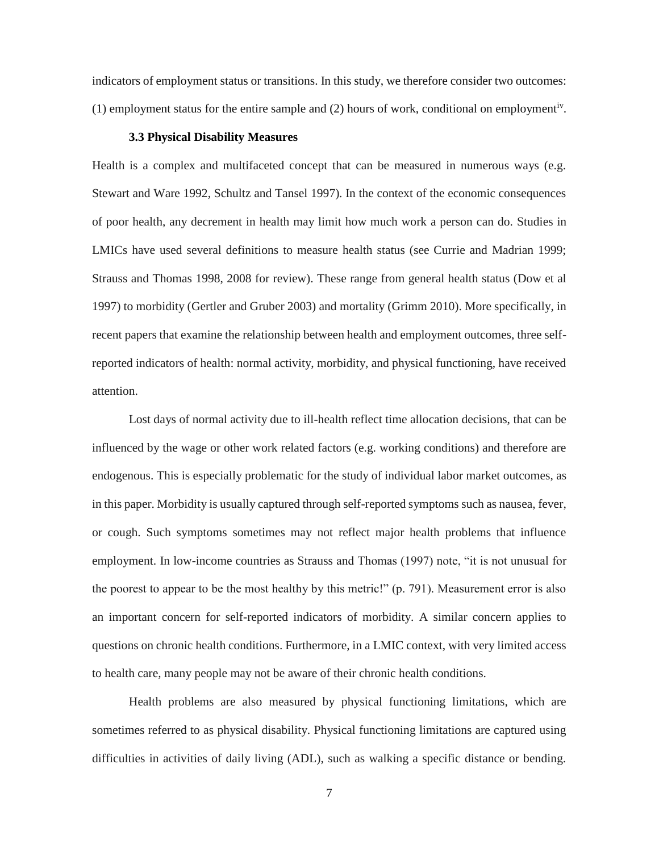indicators of employment status or transitions. In this study, we therefore consider two outcomes: (1) employment status for the entire sample and  $(2)$  hours of work, conditional on employment<sup>iv</sup>.

#### **3.3 Physical Disability Measures**

Health is a complex and multifaceted concept that can be measured in numerous ways (e.g. Stewart and Ware 1992, Schultz and Tansel 1997). In the context of the economic consequences of poor health, any decrement in health may limit how much work a person can do. Studies in LMICs have used several definitions to measure health status (see Currie and Madrian 1999; Strauss and Thomas 1998, 2008 for review). These range from general health status (Dow et al 1997) to morbidity (Gertler and Gruber 2003) and mortality (Grimm 2010). More specifically, in recent papers that examine the relationship between health and employment outcomes, three selfreported indicators of health: normal activity, morbidity, and physical functioning, have received attention.

Lost days of normal activity due to ill-health reflect time allocation decisions, that can be influenced by the wage or other work related factors (e.g. working conditions) and therefore are endogenous. This is especially problematic for the study of individual labor market outcomes, as in this paper. Morbidity is usually captured through self-reported symptoms such as nausea, fever, or cough. Such symptoms sometimes may not reflect major health problems that influence employment. In low-income countries as Strauss and Thomas (1997) note, "it is not unusual for the poorest to appear to be the most healthy by this metric!" (p. 791). Measurement error is also an important concern for self-reported indicators of morbidity. A similar concern applies to questions on chronic health conditions. Furthermore, in a LMIC context, with very limited access to health care, many people may not be aware of their chronic health conditions.

Health problems are also measured by physical functioning limitations, which are sometimes referred to as physical disability. Physical functioning limitations are captured using difficulties in activities of daily living (ADL), such as walking a specific distance or bending.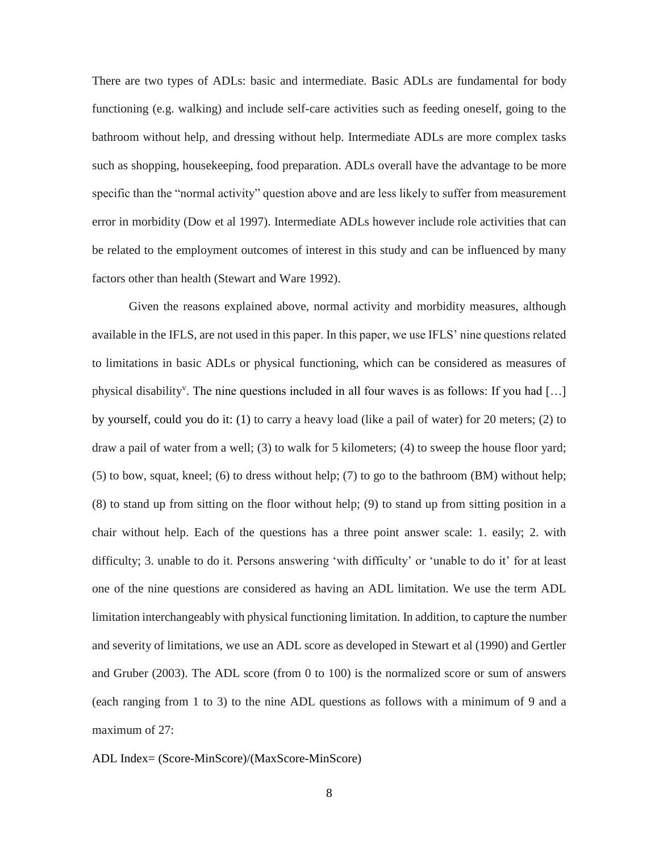There are two types of ADLs: basic and intermediate. Basic ADLs are fundamental for body functioning (e.g. walking) and include self-care activities such as feeding oneself, going to the bathroom without help, and dressing without help. Intermediate ADLs are more complex tasks such as shopping, housekeeping, food preparation. ADLs overall have the advantage to be more specific than the "normal activity" question above and are less likely to suffer from measurement error in morbidity (Dow et al 1997). Intermediate ADLs however include role activities that can be related to the employment outcomes of interest in this study and can be influenced by many factors other than health (Stewart and Ware 1992).

Given the reasons explained above, normal activity and morbidity measures, although available in the IFLS, are not used in this paper. In this paper, we use IFLS' nine questions related to limitations in basic ADLs or physical functioning, which can be considered as measures of physical disability<sup>v</sup>. The nine questions included in all four waves is as follows: If you had [...] by yourself, could you do it: (1) to carry a heavy load (like a pail of water) for 20 meters; (2) to draw a pail of water from a well; (3) to walk for 5 kilometers; (4) to sweep the house floor yard; (5) to bow, squat, kneel; (6) to dress without help; (7) to go to the bathroom (BM) without help; (8) to stand up from sitting on the floor without help; (9) to stand up from sitting position in a chair without help. Each of the questions has a three point answer scale: 1. easily; 2. with difficulty; 3. unable to do it. Persons answering 'with difficulty' or 'unable to do it' for at least one of the nine questions are considered as having an ADL limitation. We use the term ADL limitation interchangeably with physical functioning limitation. In addition, to capture the number and severity of limitations, we use an ADL score as developed in Stewart et al (1990) and Gertler and Gruber (2003). The ADL score (from 0 to 100) is the normalized score or sum of answers (each ranging from 1 to 3) to the nine ADL questions as follows with a minimum of 9 and a maximum of 27:

ADL Index= (Score-MinScore)/(MaxScore-MinScore)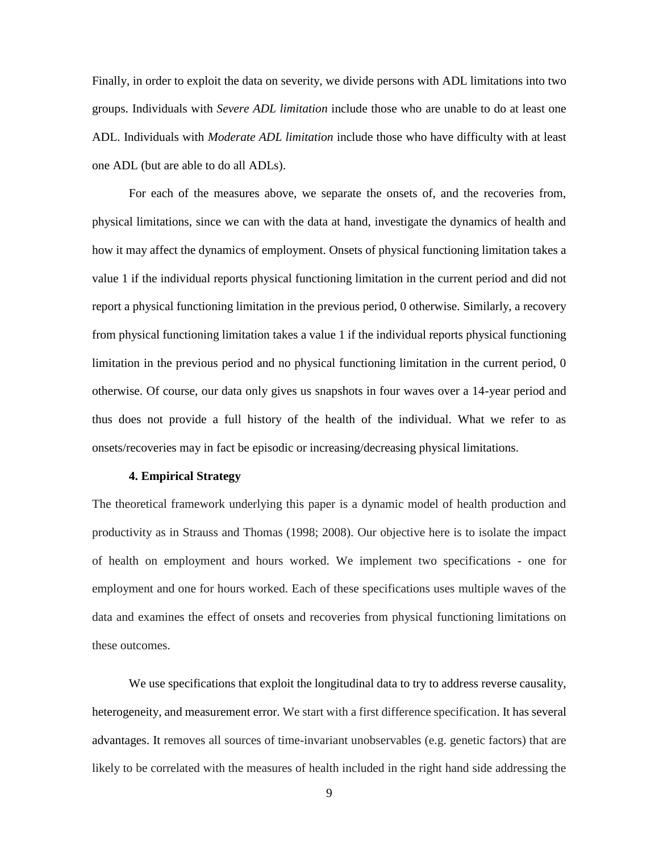Finally, in order to exploit the data on severity, we divide persons with ADL limitations into two groups. Individuals with *Severe ADL limitation* include those who are unable to do at least one ADL. Individuals with *Moderate ADL limitation* include those who have difficulty with at least one ADL (but are able to do all ADLs).

For each of the measures above, we separate the onsets of, and the recoveries from, physical limitations, since we can with the data at hand, investigate the dynamics of health and how it may affect the dynamics of employment. Onsets of physical functioning limitation takes a value 1 if the individual reports physical functioning limitation in the current period and did not report a physical functioning limitation in the previous period, 0 otherwise. Similarly, a recovery from physical functioning limitation takes a value 1 if the individual reports physical functioning limitation in the previous period and no physical functioning limitation in the current period, 0 otherwise. Of course, our data only gives us snapshots in four waves over a 14-year period and thus does not provide a full history of the health of the individual. What we refer to as onsets/recoveries may in fact be episodic or increasing/decreasing physical limitations.

#### **4. Empirical Strategy**

The theoretical framework underlying this paper is a dynamic model of health production and productivity as in Strauss and Thomas (1998; 2008). Our objective here is to isolate the impact of health on employment and hours worked. We implement two specifications - one for employment and one for hours worked. Each of these specifications uses multiple waves of the data and examines the effect of onsets and recoveries from physical functioning limitations on these outcomes.

We use specifications that exploit the longitudinal data to try to address reverse causality, heterogeneity, and measurement error. We start with a first difference specification. It has several advantages. It removes all sources of time-invariant unobservables (e.g. genetic factors) that are likely to be correlated with the measures of health included in the right hand side addressing the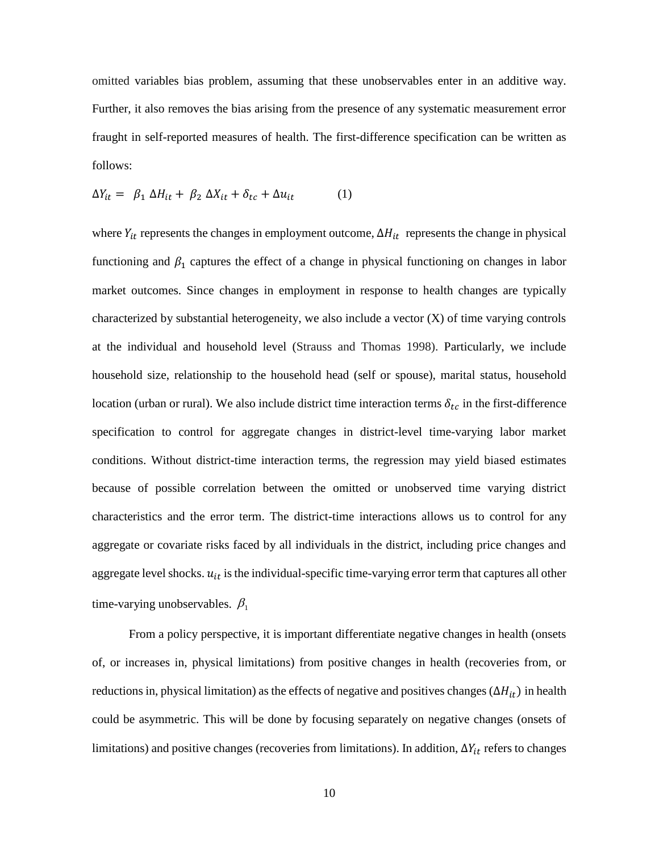omitted variables bias problem, assuming that these unobservables enter in an additive way. Further, it also removes the bias arising from the presence of any systematic measurement error fraught in self-reported measures of health. The first-difference specification can be written as follows:

$$
\Delta Y_{it} = \beta_1 \Delta H_{it} + \beta_2 \Delta X_{it} + \delta_{tc} + \Delta u_{it} \tag{1}
$$

where  $Y_{it}$  represents the changes in employment outcome,  $\Delta H_{it}$  represents the change in physical functioning and  $\beta_1$  captures the effect of a change in physical functioning on changes in labor market outcomes. Since changes in employment in response to health changes are typically characterized by substantial heterogeneity, we also include a vector (X) of time varying controls at the individual and household level (Strauss and Thomas 1998). Particularly, we include household size, relationship to the household head (self or spouse), marital status, household location (urban or rural). We also include district time interaction terms  $\delta_{tc}$  in the first-difference specification to control for aggregate changes in district-level time-varying labor market conditions. Without district-time interaction terms, the regression may yield biased estimates because of possible correlation between the omitted or unobserved time varying district characteristics and the error term. The district-time interactions allows us to control for any aggregate or covariate risks faced by all individuals in the district, including price changes and aggregate level shocks.  $u_{it}$  is the individual-specific time-varying error term that captures all other time-varying unobservables.  $\beta_1$ 

From a policy perspective, it is important differentiate negative changes in health (onsets of, or increases in, physical limitations) from positive changes in health (recoveries from, or reductions in, physical limitation) as the effects of negative and positives changes ( $\Delta H_{it}$ ) in health could be asymmetric. This will be done by focusing separately on negative changes (onsets of limitations) and positive changes (recoveries from limitations). In addition,  $\Delta Y_{it}$  refers to changes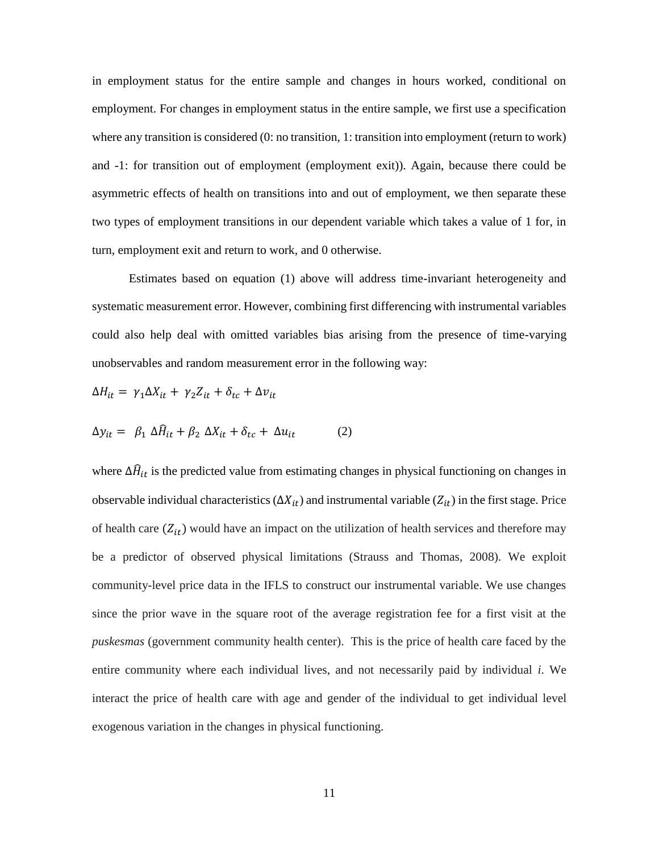in employment status for the entire sample and changes in hours worked, conditional on employment. For changes in employment status in the entire sample, we first use a specification where any transition is considered (0: no transition, 1: transition into employment (return to work) and -1: for transition out of employment (employment exit)). Again, because there could be asymmetric effects of health on transitions into and out of employment, we then separate these two types of employment transitions in our dependent variable which takes a value of 1 for, in turn, employment exit and return to work, and 0 otherwise.

Estimates based on equation (1) above will address time-invariant heterogeneity and systematic measurement error. However, combining first differencing with instrumental variables could also help deal with omitted variables bias arising from the presence of time-varying unobservables and random measurement error in the following way:

$$
\Delta H_{it} = \gamma_1 \Delta X_{it} + \gamma_2 Z_{it} + \delta_{tc} + \Delta v_{it}
$$

$$
\Delta y_{it} = \beta_1 \Delta \hat{H}_{it} + \beta_2 \Delta X_{it} + \delta_{tc} + \Delta u_{it} \tag{2}
$$

where  $\Delta \hat{H}_{it}$  is the predicted value from estimating changes in physical functioning on changes in observable individual characteristics ( $\Delta X_{it}$ ) and instrumental variable ( $Z_{it}$ ) in the first stage. Price of health care  $(Z_{it})$  would have an impact on the utilization of health services and therefore may be a predictor of observed physical limitations (Strauss and Thomas, 2008). We exploit community-level price data in the IFLS to construct our instrumental variable. We use changes since the prior wave in the square root of the average registration fee for a first visit at the *puskesmas* (government community health center). This is the price of health care faced by the entire community where each individual lives, and not necessarily paid by individual *i*. We interact the price of health care with age and gender of the individual to get individual level exogenous variation in the changes in physical functioning.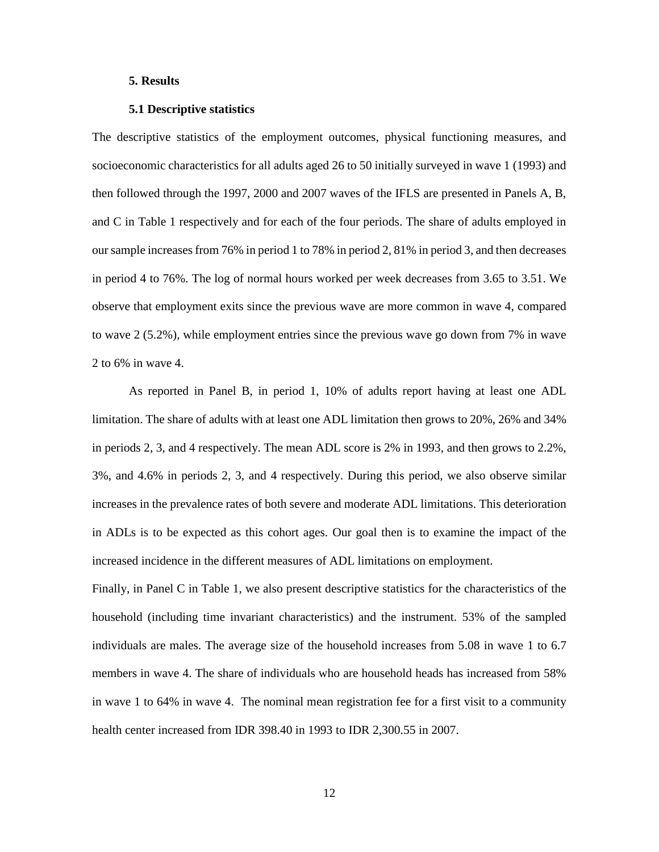#### **5. Results**

#### **5.1 Descriptive statistics**

The descriptive statistics of the employment outcomes, physical functioning measures, and socioeconomic characteristics for all adults aged 26 to 50 initially surveyed in wave 1 (1993) and then followed through the 1997, 2000 and 2007 waves of the IFLS are presented in Panels A, B, and C in Table 1 respectively and for each of the four periods. The share of adults employed in our sample increases from 76% in period 1 to 78% in period 2, 81% in period 3, and then decreases in period 4 to 76%. The log of normal hours worked per week decreases from 3.65 to 3.51. We observe that employment exits since the previous wave are more common in wave 4, compared to wave 2 (5.2%), while employment entries since the previous wave go down from 7% in wave 2 to 6% in wave 4.

As reported in Panel B, in period 1, 10% of adults report having at least one ADL limitation. The share of adults with at least one ADL limitation then grows to 20%, 26% and 34% in periods 2, 3, and 4 respectively. The mean ADL score is 2% in 1993, and then grows to 2.2%, 3%, and 4.6% in periods 2, 3, and 4 respectively. During this period, we also observe similar increases in the prevalence rates of both severe and moderate ADL limitations. This deterioration in ADLs is to be expected as this cohort ages. Our goal then is to examine the impact of the increased incidence in the different measures of ADL limitations on employment.

Finally, in Panel C in Table 1, we also present descriptive statistics for the characteristics of the household (including time invariant characteristics) and the instrument. 53% of the sampled individuals are males. The average size of the household increases from 5.08 in wave 1 to 6.7 members in wave 4. The share of individuals who are household heads has increased from 58% in wave 1 to 64% in wave 4. The nominal mean registration fee for a first visit to a community health center increased from IDR 398.40 in 1993 to IDR 2,300.55 in 2007.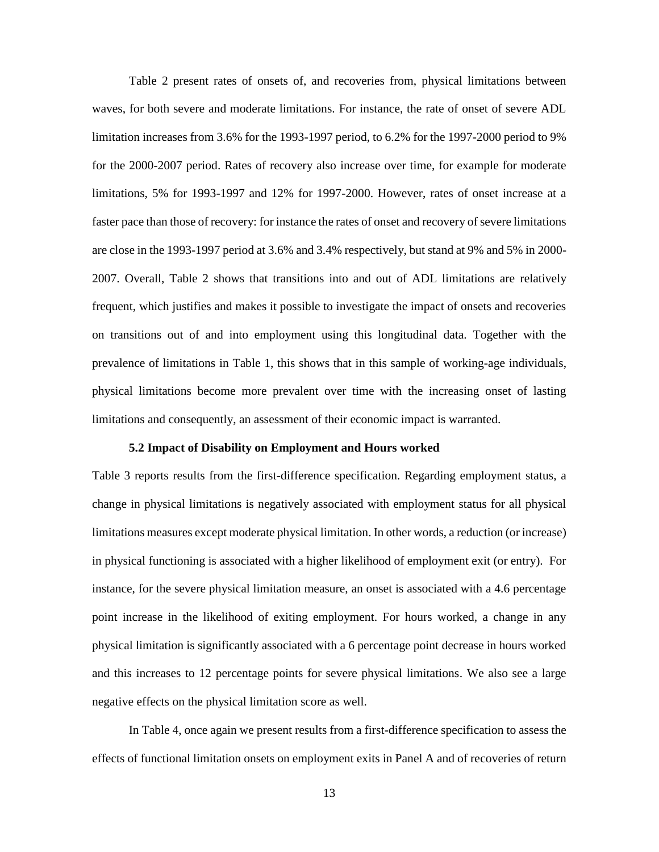Table 2 present rates of onsets of, and recoveries from, physical limitations between waves, for both severe and moderate limitations. For instance, the rate of onset of severe ADL limitation increases from 3.6% for the 1993-1997 period, to 6.2% for the 1997-2000 period to 9% for the 2000-2007 period. Rates of recovery also increase over time, for example for moderate limitations, 5% for 1993-1997 and 12% for 1997-2000. However, rates of onset increase at a faster pace than those of recovery: for instance the rates of onset and recovery of severe limitations are close in the 1993-1997 period at 3.6% and 3.4% respectively, but stand at 9% and 5% in 2000- 2007. Overall, Table 2 shows that transitions into and out of ADL limitations are relatively frequent, which justifies and makes it possible to investigate the impact of onsets and recoveries on transitions out of and into employment using this longitudinal data. Together with the prevalence of limitations in Table 1, this shows that in this sample of working-age individuals, physical limitations become more prevalent over time with the increasing onset of lasting limitations and consequently, an assessment of their economic impact is warranted.

#### **5.2 Impact of Disability on Employment and Hours worked**

Table 3 reports results from the first-difference specification. Regarding employment status, a change in physical limitations is negatively associated with employment status for all physical limitations measures except moderate physical limitation. In other words, a reduction (or increase) in physical functioning is associated with a higher likelihood of employment exit (or entry). For instance, for the severe physical limitation measure, an onset is associated with a 4.6 percentage point increase in the likelihood of exiting employment. For hours worked, a change in any physical limitation is significantly associated with a 6 percentage point decrease in hours worked and this increases to 12 percentage points for severe physical limitations. We also see a large negative effects on the physical limitation score as well.

In Table 4, once again we present results from a first-difference specification to assess the effects of functional limitation onsets on employment exits in Panel A and of recoveries of return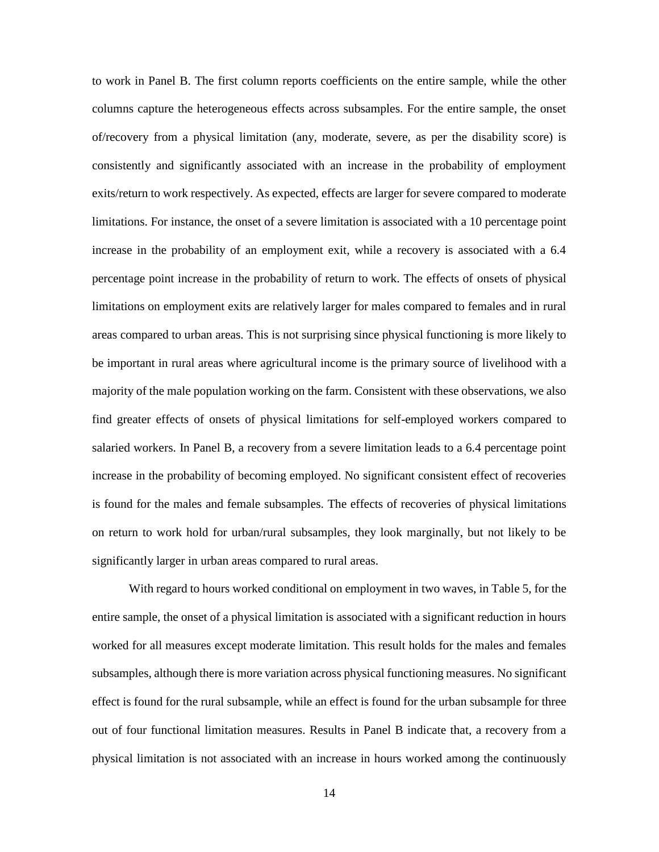to work in Panel B. The first column reports coefficients on the entire sample, while the other columns capture the heterogeneous effects across subsamples. For the entire sample, the onset of/recovery from a physical limitation (any, moderate, severe, as per the disability score) is consistently and significantly associated with an increase in the probability of employment exits/return to work respectively. As expected, effects are larger for severe compared to moderate limitations. For instance, the onset of a severe limitation is associated with a 10 percentage point increase in the probability of an employment exit, while a recovery is associated with a 6.4 percentage point increase in the probability of return to work. The effects of onsets of physical limitations on employment exits are relatively larger for males compared to females and in rural areas compared to urban areas. This is not surprising since physical functioning is more likely to be important in rural areas where agricultural income is the primary source of livelihood with a majority of the male population working on the farm. Consistent with these observations, we also find greater effects of onsets of physical limitations for self-employed workers compared to salaried workers. In Panel B, a recovery from a severe limitation leads to a 6.4 percentage point increase in the probability of becoming employed. No significant consistent effect of recoveries is found for the males and female subsamples. The effects of recoveries of physical limitations on return to work hold for urban/rural subsamples, they look marginally, but not likely to be significantly larger in urban areas compared to rural areas.

With regard to hours worked conditional on employment in two waves, in Table 5, for the entire sample, the onset of a physical limitation is associated with a significant reduction in hours worked for all measures except moderate limitation. This result holds for the males and females subsamples, although there is more variation across physical functioning measures. No significant effect is found for the rural subsample, while an effect is found for the urban subsample for three out of four functional limitation measures. Results in Panel B indicate that, a recovery from a physical limitation is not associated with an increase in hours worked among the continuously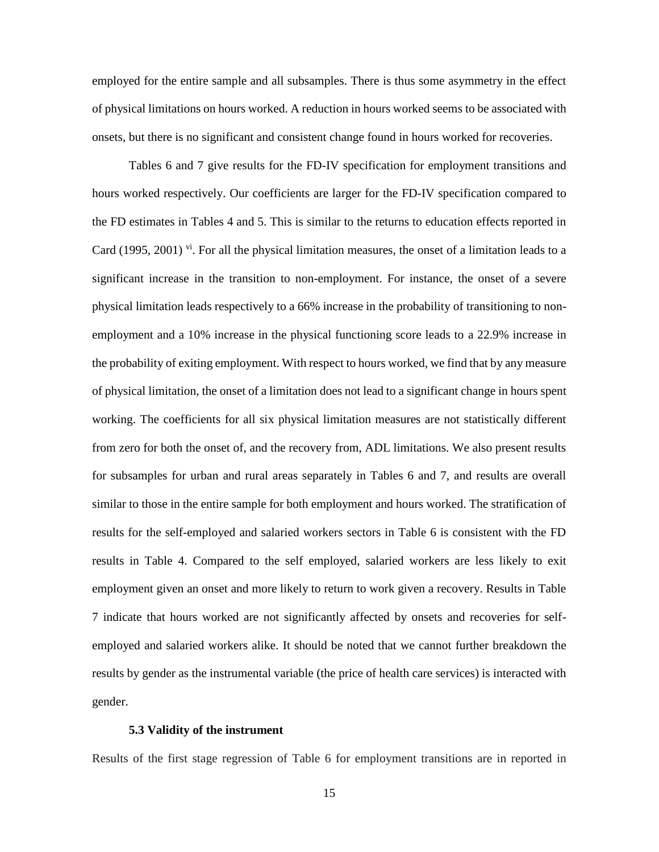employed for the entire sample and all subsamples. There is thus some asymmetry in the effect of physical limitations on hours worked. A reduction in hours worked seems to be associated with onsets, but there is no significant and consistent change found in hours worked for recoveries.

Tables 6 and 7 give results for the FD-IV specification for employment transitions and hours worked respectively. Our coefficients are larger for the FD-IV specification compared to the FD estimates in Tables 4 and 5. This is similar to the returns to education effects reported in Card (1995, 2001)  $\overline{v}$ . For all the physical limitation measures, the onset of a limitation leads to a significant increase in the transition to non-employment. For instance, the onset of a severe physical limitation leads respectively to a 66% increase in the probability of transitioning to nonemployment and a 10% increase in the physical functioning score leads to a 22.9% increase in the probability of exiting employment. With respect to hours worked, we find that by any measure of physical limitation, the onset of a limitation does not lead to a significant change in hours spent working. The coefficients for all six physical limitation measures are not statistically different from zero for both the onset of, and the recovery from, ADL limitations. We also present results for subsamples for urban and rural areas separately in Tables 6 and 7, and results are overall similar to those in the entire sample for both employment and hours worked. The stratification of results for the self-employed and salaried workers sectors in Table 6 is consistent with the FD results in Table 4. Compared to the self employed, salaried workers are less likely to exit employment given an onset and more likely to return to work given a recovery. Results in Table 7 indicate that hours worked are not significantly affected by onsets and recoveries for selfemployed and salaried workers alike. It should be noted that we cannot further breakdown the results by gender as the instrumental variable (the price of health care services) is interacted with gender.

#### **5.3 Validity of the instrument**

Results of the first stage regression of Table 6 for employment transitions are in reported in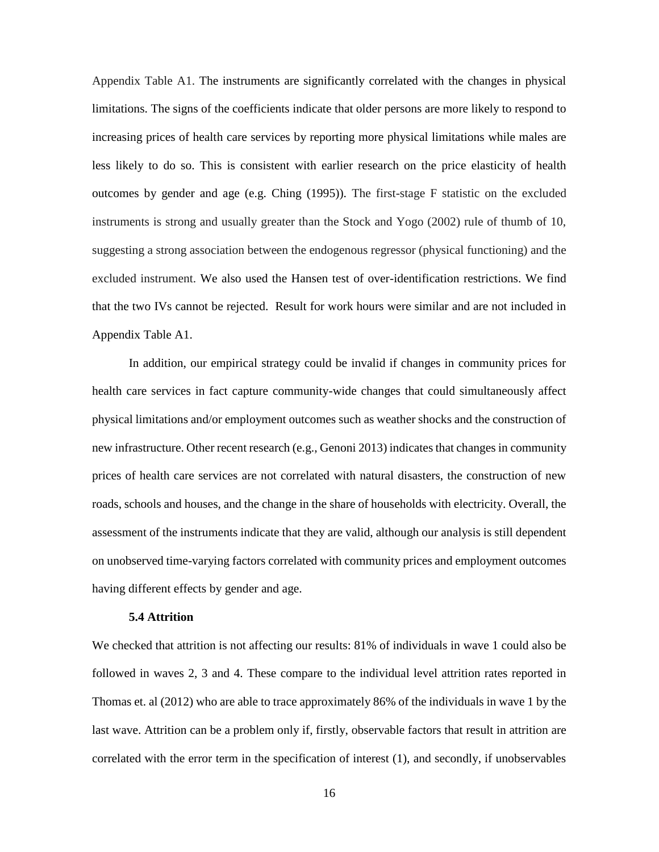Appendix Table A1. The instruments are significantly correlated with the changes in physical limitations. The signs of the coefficients indicate that older persons are more likely to respond to increasing prices of health care services by reporting more physical limitations while males are less likely to do so. This is consistent with earlier research on the price elasticity of health outcomes by gender and age (e.g. Ching (1995)). The first-stage F statistic on the excluded instruments is strong and usually greater than the Stock and Yogo (2002) rule of thumb of 10, suggesting a strong association between the endogenous regressor (physical functioning) and the excluded instrument. We also used the Hansen test of over-identification restrictions. We find that the two IVs cannot be rejected. Result for work hours were similar and are not included in Appendix Table A1.

In addition, our empirical strategy could be invalid if changes in community prices for health care services in fact capture community-wide changes that could simultaneously affect physical limitations and/or employment outcomes such as weather shocks and the construction of new infrastructure. Other recent research (e.g., Genoni 2013) indicates that changes in community prices of health care services are not correlated with natural disasters, the construction of new roads, schools and houses, and the change in the share of households with electricity. Overall, the assessment of the instruments indicate that they are valid, although our analysis is still dependent on unobserved time-varying factors correlated with community prices and employment outcomes having different effects by gender and age.

#### **5.4 Attrition**

We checked that attrition is not affecting our results: 81% of individuals in wave 1 could also be followed in waves 2, 3 and 4. These compare to the individual level attrition rates reported in Thomas et. al (2012) who are able to trace approximately 86% of the individuals in wave 1 by the last wave. Attrition can be a problem only if, firstly, observable factors that result in attrition are correlated with the error term in the specification of interest (1), and secondly, if unobservables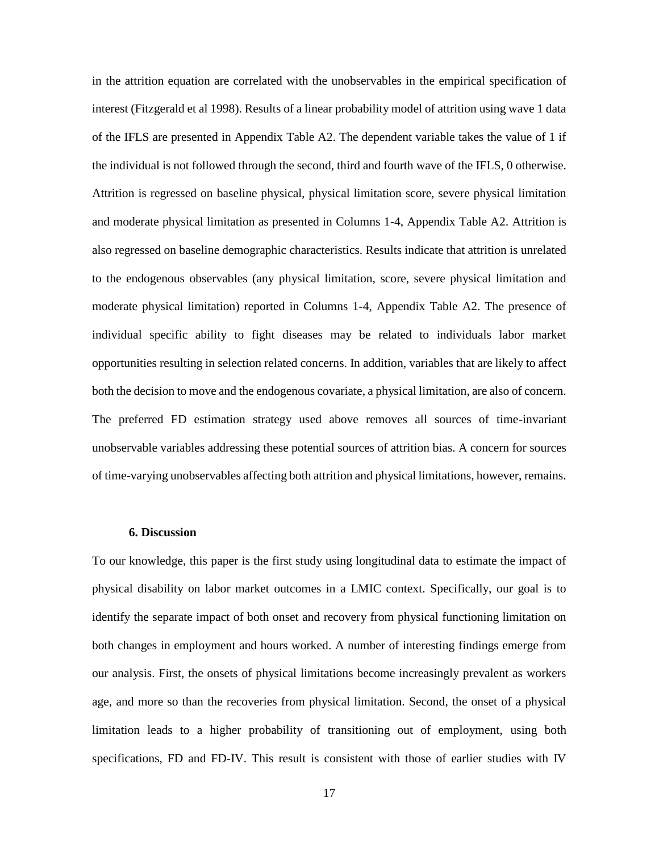in the attrition equation are correlated with the unobservables in the empirical specification of interest (Fitzgerald et al 1998). Results of a linear probability model of attrition using wave 1 data of the IFLS are presented in Appendix Table A2. The dependent variable takes the value of 1 if the individual is not followed through the second, third and fourth wave of the IFLS, 0 otherwise. Attrition is regressed on baseline physical, physical limitation score, severe physical limitation and moderate physical limitation as presented in Columns 1-4, Appendix Table A2. Attrition is also regressed on baseline demographic characteristics. Results indicate that attrition is unrelated to the endogenous observables (any physical limitation, score, severe physical limitation and moderate physical limitation) reported in Columns 1-4, Appendix Table A2. The presence of individual specific ability to fight diseases may be related to individuals labor market opportunities resulting in selection related concerns. In addition, variables that are likely to affect both the decision to move and the endogenous covariate, a physical limitation, are also of concern. The preferred FD estimation strategy used above removes all sources of time-invariant unobservable variables addressing these potential sources of attrition bias. A concern for sources of time-varying unobservables affecting both attrition and physical limitations, however, remains.

## **6. Discussion**

To our knowledge, this paper is the first study using longitudinal data to estimate the impact of physical disability on labor market outcomes in a LMIC context. Specifically, our goal is to identify the separate impact of both onset and recovery from physical functioning limitation on both changes in employment and hours worked. A number of interesting findings emerge from our analysis. First, the onsets of physical limitations become increasingly prevalent as workers age, and more so than the recoveries from physical limitation. Second, the onset of a physical limitation leads to a higher probability of transitioning out of employment, using both specifications, FD and FD-IV. This result is consistent with those of earlier studies with IV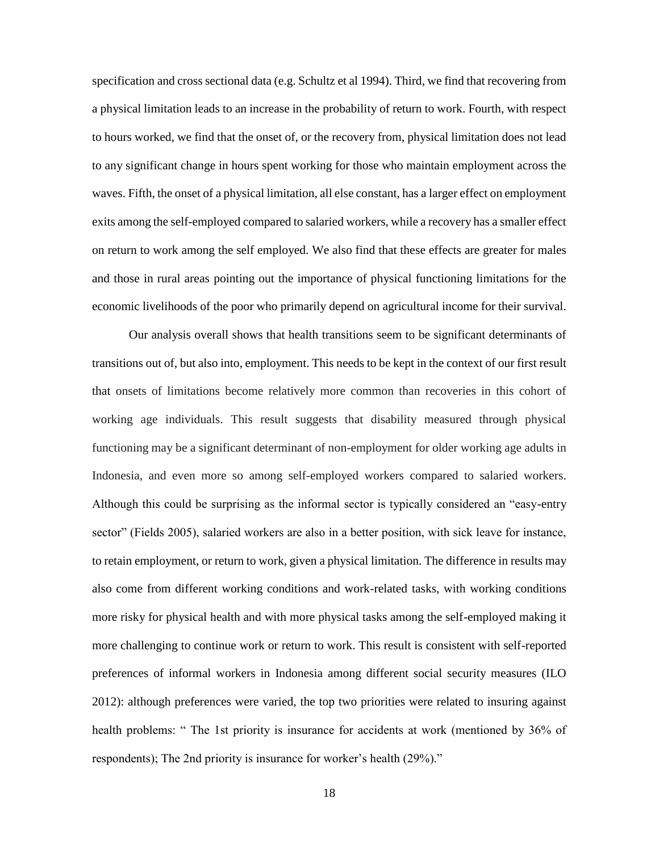specification and cross sectional data (e.g. Schultz et al 1994). Third, we find that recovering from a physical limitation leads to an increase in the probability of return to work. Fourth, with respect to hours worked, we find that the onset of, or the recovery from, physical limitation does not lead to any significant change in hours spent working for those who maintain employment across the waves. Fifth, the onset of a physical limitation, all else constant, has a larger effect on employment exits among the self-employed compared to salaried workers, while a recovery has a smaller effect on return to work among the self employed. We also find that these effects are greater for males and those in rural areas pointing out the importance of physical functioning limitations for the economic livelihoods of the poor who primarily depend on agricultural income for their survival.

Our analysis overall shows that health transitions seem to be significant determinants of transitions out of, but also into, employment. This needs to be kept in the context of our first result that onsets of limitations become relatively more common than recoveries in this cohort of working age individuals. This result suggests that disability measured through physical functioning may be a significant determinant of non-employment for older working age adults in Indonesia, and even more so among self-employed workers compared to salaried workers. Although this could be surprising as the informal sector is typically considered an "easy-entry sector" (Fields 2005), salaried workers are also in a better position, with sick leave for instance, to retain employment, or return to work, given a physical limitation. The difference in results may also come from different working conditions and work-related tasks, with working conditions more risky for physical health and with more physical tasks among the self-employed making it more challenging to continue work or return to work. This result is consistent with self-reported preferences of informal workers in Indonesia among different social security measures (ILO 2012): although preferences were varied, the top two priorities were related to insuring against health problems: " The 1st priority is insurance for accidents at work (mentioned by 36% of respondents); The 2nd priority is insurance for worker's health (29%)."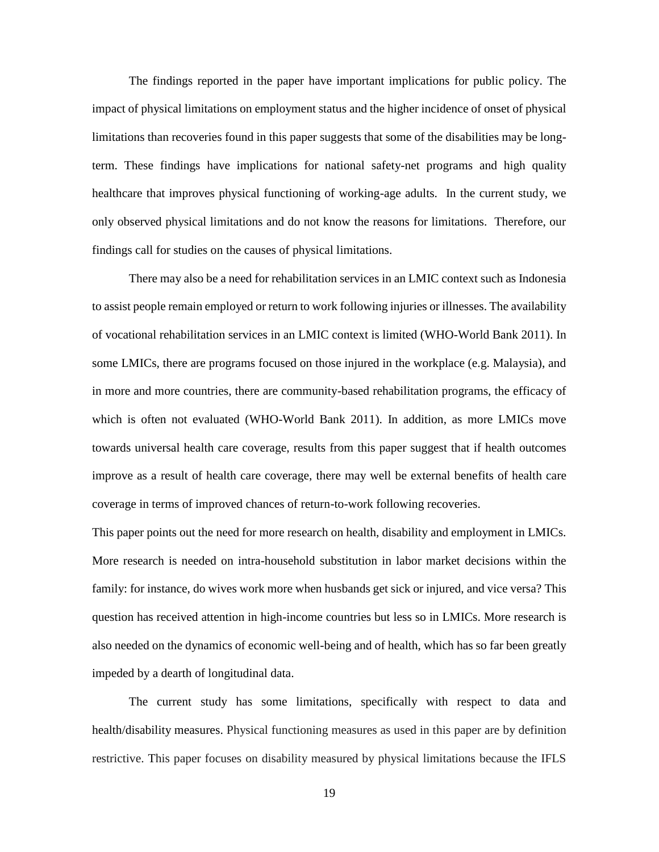The findings reported in the paper have important implications for public policy. The impact of physical limitations on employment status and the higher incidence of onset of physical limitations than recoveries found in this paper suggests that some of the disabilities may be longterm. These findings have implications for national safety-net programs and high quality healthcare that improves physical functioning of working-age adults. In the current study, we only observed physical limitations and do not know the reasons for limitations. Therefore, our findings call for studies on the causes of physical limitations.

There may also be a need for rehabilitation services in an LMIC context such as Indonesia to assist people remain employed or return to work following injuries or illnesses. The availability of vocational rehabilitation services in an LMIC context is limited (WHO-World Bank 2011). In some LMICs, there are programs focused on those injured in the workplace (e.g. Malaysia), and in more and more countries, there are community-based rehabilitation programs, the efficacy of which is often not evaluated (WHO-World Bank 2011). In addition, as more LMICs move towards universal health care coverage, results from this paper suggest that if health outcomes improve as a result of health care coverage, there may well be external benefits of health care coverage in terms of improved chances of return-to-work following recoveries.

This paper points out the need for more research on health, disability and employment in LMICs. More research is needed on intra-household substitution in labor market decisions within the family: for instance, do wives work more when husbands get sick or injured, and vice versa? This question has received attention in high-income countries but less so in LMICs. More research is also needed on the dynamics of economic well-being and of health, which has so far been greatly impeded by a dearth of longitudinal data.

The current study has some limitations, specifically with respect to data and health/disability measures. Physical functioning measures as used in this paper are by definition restrictive. This paper focuses on disability measured by physical limitations because the IFLS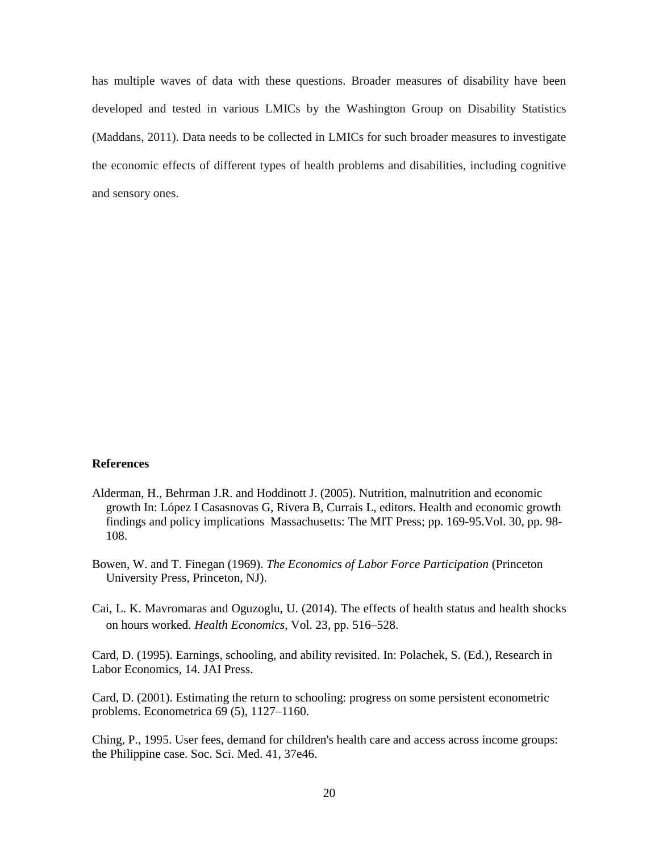has multiple waves of data with these questions. Broader measures of disability have been developed and tested in various LMICs by the Washington Group on Disability Statistics (Maddans, 2011). Data needs to be collected in LMICs for such broader measures to investigate the economic effects of different types of health problems and disabilities, including cognitive and sensory ones.

## **References**

- Alderman, H., Behrman J.R. and Hoddinott J. (2005). Nutrition, malnutrition and economic growth In: López I Casasnovas G, Rivera B, Currais L, editors. Health and economic growth findings and policy implications Massachusetts: The MIT Press; pp. 169-95.Vol. 30, pp. 98- 108.
- Bowen, W. and T. Finegan (1969). *The Economics of Labor Force Participation* (Princeton University Press, Princeton, NJ).
- Cai, L. K. Mavromaras and Oguzoglu, U. (2014). The effects of health status and health shocks on hours worked. *Health Economics*, Vol. 23, pp. 516–528.

Card, D. (1995). Earnings, schooling, and ability revisited. In: Polachek, S. (Ed.), Research in Labor Economics, 14. JAI Press.

Card, D. (2001). Estimating the return to schooling: progress on some persistent econometric problems. Econometrica 69 (5), 1127–1160.

Ching, P., 1995. User fees, demand for children's health care and access across income groups: the Philippine case. Soc. Sci. Med. 41, 37e46.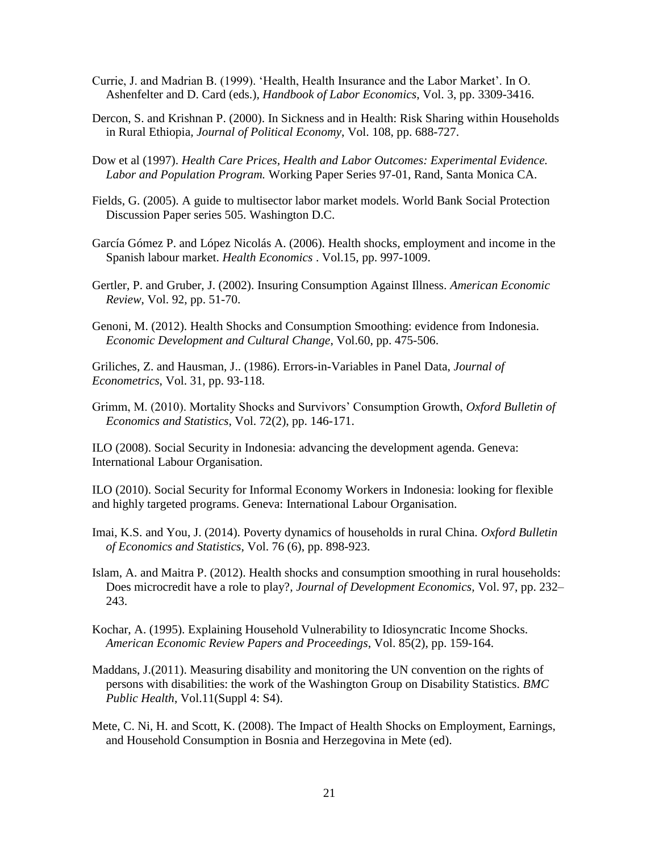- Currie, J. and Madrian B. (1999). 'Health, Health Insurance and the Labor Market'. In O. Ashenfelter and D. Card (eds.), *Handbook of Labor Economics*, Vol. 3, pp. 3309-3416.
- Dercon, S. and Krishnan P. (2000). In Sickness and in Health: Risk Sharing within Households in Rural Ethiopia*, Journal of Political Economy*, Vol. 108, pp. 688-727.
- Dow et al (1997). *Health Care Prices, Health and Labor Outcomes: Experimental Evidence. Labor and Population Program.* Working Paper Series 97-01, Rand, Santa Monica CA.
- Fields, G. (2005). A guide to multisector labor market models. World Bank Social Protection Discussion Paper series 505. Washington D.C.
- García Gómez P. and López Nicolás A. (2006). Health shocks, employment and income in the Spanish labour market. *Health Economics* . Vol.15, pp. 997-1009.
- Gertler, P. and Gruber, J. (2002). Insuring Consumption Against Illness. *American Economic Review*, Vol. 92, pp. 51-70.
- Genoni, M. (2012). Health Shocks and Consumption Smoothing: evidence from Indonesia. *Economic Development and Cultural Change*, Vol.60, pp. 475-506.

Griliches, Z. and Hausman, J.. (1986). Errors-in-Variables in Panel Data, *Journal of Econometrics*, Vol. 31, pp. 93-118.

Grimm, M. (2010). Mortality Shocks and Survivors' Consumption Growth, *Oxford Bulletin of Economics and Statistics*, Vol. 72(2), pp. 146-171.

ILO (2008). Social Security in Indonesia: advancing the development agenda. Geneva: International Labour Organisation.

ILO (2010). Social Security for Informal Economy Workers in Indonesia: looking for flexible and highly targeted programs. Geneva: International Labour Organisation.

- Imai, K.S. and You, J. (2014). Poverty dynamics of households in rural China. *Oxford Bulletin of Economics and Statistics*, Vol. 76 (6), pp. 898-923.
- [Islam,](http://www.sciencedirect.com/science/article/pii/S0304387811000484) [A.](http://www.sciencedirect.com/science/article/pii/S0304387811000484#af0005) and [Maitra](http://www.sciencedirect.com/science/article/pii/S0304387811000484) [P.](http://www.sciencedirect.com/science/article/pii/S0304387811000484#af0010) (2012). Health shocks and consumption smoothing in rural households: Does microcredit have a role to play?*, [Journal of Development Economics,](http://www.sciencedirect.com/science/journal/03043878)* Vol. 97, pp. 232– 243.
- Kochar, A. (1995). Explaining Household Vulnerability to Idiosyncratic Income Shocks. *American Economic Review Papers and Proceedings*, Vol. 85(2), pp. 159-164.
- Maddans, J.(2011). Measuring disability and monitoring the UN convention on the rights of persons with disabilities: the work of the Washington Group on Disability Statistics. *BMC Public Health*, Vol.11(Suppl 4: S4).
- Mete, C. Ni, H. and Scott, K. (2008). The Impact of Health Shocks on Employment, Earnings, and Household Consumption in Bosnia and Herzegovina in Mete (ed).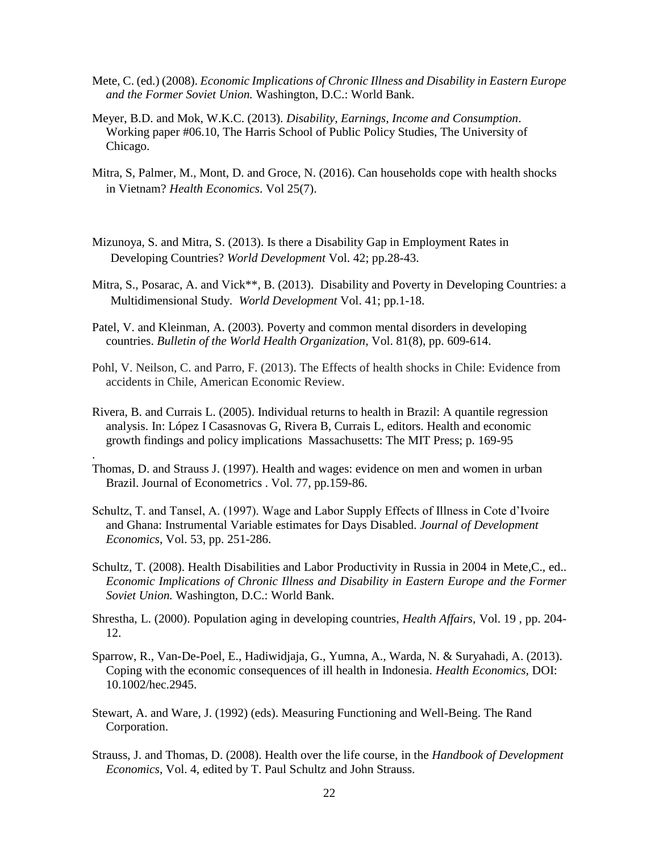- Mete, C. (ed.) (2008). *Economic Implications of Chronic Illness and Disability in Eastern Europe and the Former Soviet Union.* Washington, D.C.: World Bank.
- Meyer, B.D. and Mok, W.K.C. (2013). *Disability, Earnings, Income and Consumption*. Working paper #06.10, The Harris School of Public Policy Studies, The University of Chicago.
- Mitra, S, Palmer, M., Mont, D. and Groce, N. (2016). Can households cope with health shocks in Vietnam? *Health Economics*. Vol 25(7).
- Mizunoya, S. and Mitra, S. (2013). Is there a Disability Gap in Employment Rates in Developing Countries? *World Development* Vol. 42; pp.28-43.
- Mitra, S., Posarac, A. and Vick\*\*, B. (2013). Disability and Poverty in Developing Countries: a Multidimensional Study. *World Development* Vol. 41; pp.1-18.
- Patel, V. and Kleinman, A. (2003). Poverty and common mental disorders in developing countries. *Bulletin of the World Health Organization*, Vol. 81(8), pp. 609-614.
- Pohl, V. Neilson, C. and Parro, F. (2013). The Effects of health shocks in Chile: Evidence from accidents in Chile, American Economic Review.
- Rivera, B. and Currais L. (2005). Individual returns to health in Brazil: A quantile regression analysis. In: López I Casasnovas G, Rivera B, Currais L, editors. Health and economic growth findings and policy implications Massachusetts: The MIT Press; p. 169-95
- Thomas, D. and Strauss J. (1997). Health and wages: evidence on men and women in urban Brazil. Journal of Econometrics . Vol. 77, pp.159-86.

.

- Schultz, T. and Tansel, A. (1997). Wage and Labor Supply Effects of Illness in Cote d'Ivoire and Ghana: Instrumental Variable estimates for Days Disabled. *Journal of Development Economics*, Vol. 53, pp. 251-286.
- Schultz, T. (2008). Health Disabilities and Labor Productivity in Russia in 2004 in Mete,C., ed.. *Economic Implications of Chronic Illness and Disability in Eastern Europe and the Former Soviet Union.* Washington, D.C.: World Bank.
- [Shrestha, L.](http://search.proquest.com.avoserv.library.fordham.edu/indexinglinkhandler/sng/au/Shrestha,+Laura+B/$N?accountid=10932) (2000). Population aging in developing countries, *[Health Affairs,](http://search.proquest.com.avoserv.library.fordham.edu/pubidlinkhandler/sng/pubtitle/Health+Affairs/$N/36027/DocView/204619883/fulltextwithgraphics/13BF67455CA160C2E5E/26?accountid=10932)* [Vol.](http://search.proquest.com.avoserv.library.fordham.edu/indexingvolumeissuelinkhandler/36027/Health+Affairs/02000Y05Y01$23May$2fJun+2000$3b++Vol.+19+$283$29/19/3?accountid=10932) [19](http://search.proquest.com.avoserv.library.fordham.edu/indexingvolumeissuelinkhandler/36027/Health+Affairs/02000Y05Y01$23May$2fJun+2000$3b++Vol.+19+$283$29/19/3?accountid=10932) , pp. 204- 12.
- Sparrow, R., Van-De-Poel, E., Hadiwidjaja, G., Yumna, A., Warda, N. & Suryahadi, A. (2013). Coping with the economic consequences of ill health in Indonesia. *Health Economics,* DOI: 10.1002/hec.2945.
- Stewart, A. and Ware, J. (1992) (eds). Measuring Functioning and Well-Being. The Rand Corporation.
- Strauss, J. and Thomas, D. (2008). Health over the life course, in the *Handbook of Development Economics*, Vol. 4, edited by T. Paul Schultz and John Strauss.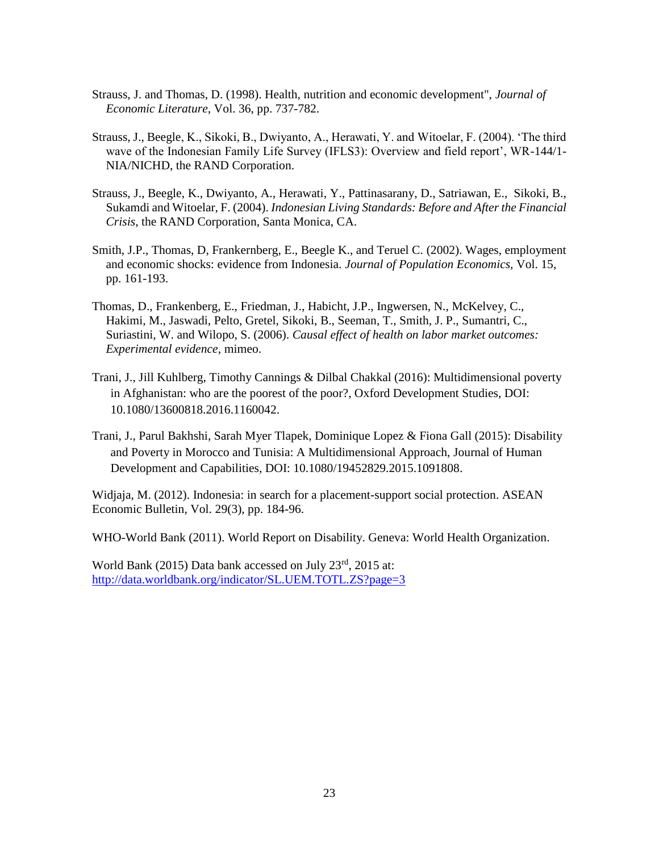- Strauss, J. and Thomas, D. (1998). Health, nutrition and economic development", *Journal of Economic Literature*, Vol. 36, pp. 737-782.
- Strauss, J., Beegle, K., Sikoki, B., Dwiyanto, A., Herawati, Y. and Witoelar, F. (2004). 'The third wave of the Indonesian Family Life Survey (IFLS3): Overview and field report', WR-144/1- NIA/NICHD, the RAND Corporation.
- Strauss, J., Beegle, K., Dwiyanto, A., Herawati, Y., Pattinasarany, D., Satriawan, E., Sikoki, B., Sukamdi and Witoelar, F. (2004). *Indonesian Living Standards: Before and After the Financial Crisis*, the RAND Corporation, Santa Monica, CA.
- Smith, J.P., Thomas, D, Frankernberg, E., Beegle K., and Teruel C. (2002). Wages, employment and economic shocks: evidence from Indonesia. *Journal of Population Economics,* Vol. 15, pp. 161-193.
- Thomas, D., Frankenberg, E., Friedman, J., Habicht, J.P., Ingwersen, N., McKelvey, C., Hakimi, M., Jaswadi, Pelto, Gretel, Sikoki, B., Seeman, T., Smith, J. P., Sumantri, C., Suriastini, W. and Wilopo, S. (2006). *Causal effect of health on labor market outcomes: Experimental evidence*, mimeo.
- Trani, J., Jill Kuhlberg, Timothy Cannings & Dilbal Chakkal (2016): Multidimensional poverty in Afghanistan: who are the poorest of the poor?, Oxford Development Studies, DOI: 10.1080/13600818.2016.1160042.
- Trani, J., Parul Bakhshi, Sarah Myer Tlapek, Dominique Lopez & Fiona Gall (2015): Disability and Poverty in Morocco and Tunisia: A Multidimensional Approach, Journal of Human Development and Capabilities, DOI: 10.1080/19452829.2015.1091808.

Widjaja, M. (2012). Indonesia: in search for a placement-support social protection. ASEAN Economic Bulletin, Vol. 29(3), pp. 184-96.

WHO-World Bank (2011). World Report on Disability. Geneva: World Health Organization.

World Bank (2015) Data bank accessed on July 23rd, 2015 at: <http://data.worldbank.org/indicator/SL.UEM.TOTL.ZS?page=3>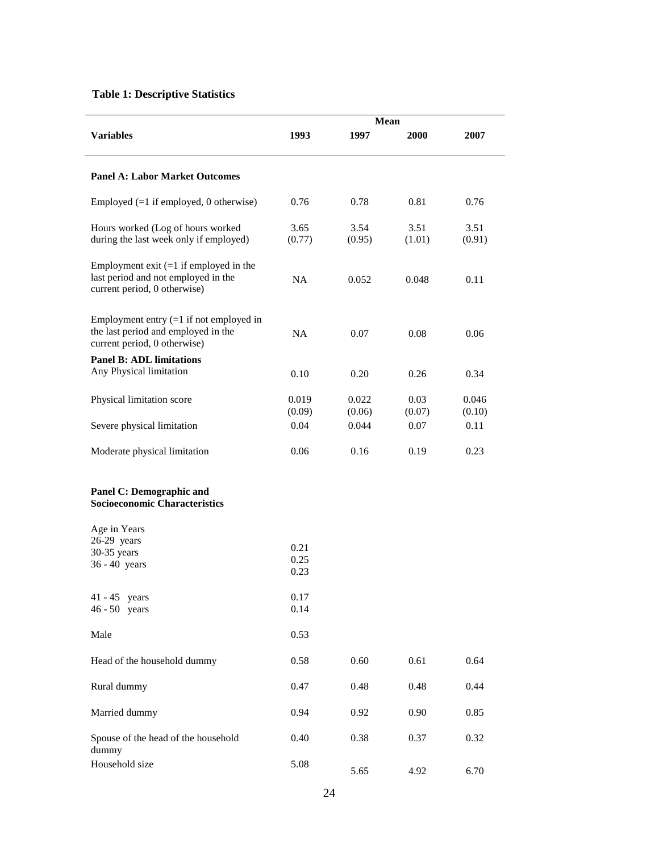# **Table 1: Descriptive Statistics**

|                                                                                                                  | <b>Mean</b>     |                 |                |                 |  |  |
|------------------------------------------------------------------------------------------------------------------|-----------------|-----------------|----------------|-----------------|--|--|
| <b>Variables</b>                                                                                                 | 1993            | 1997            | 2000           | 2007            |  |  |
| <b>Panel A: Labor Market Outcomes</b>                                                                            |                 |                 |                |                 |  |  |
| Employed $(=1$ if employed, 0 otherwise)                                                                         | 0.76            | 0.78            | 0.81           | 0.76            |  |  |
| Hours worked (Log of hours worked<br>during the last week only if employed)                                      | 3.65<br>(0.77)  | 3.54<br>(0.95)  | 3.51<br>(1.01) | 3.51<br>(0.91)  |  |  |
| Employment exit $(=1$ if employed in the<br>last period and not employed in the<br>current period, 0 otherwise)  | <b>NA</b>       | 0.052           | 0.048          | 0.11            |  |  |
| Employment entry $(=1$ if not employed in<br>the last period and employed in the<br>current period, 0 otherwise) | <b>NA</b>       | 0.07            | 0.08           | 0.06            |  |  |
| <b>Panel B: ADL limitations</b><br>Any Physical limitation                                                       | 0.10            | 0.20            | 0.26           | 0.34            |  |  |
| Physical limitation score                                                                                        | 0.019<br>(0.09) | 0.022<br>(0.06) | 0.03<br>(0.07) | 0.046<br>(0.10) |  |  |
| Severe physical limitation                                                                                       | 0.04            | 0.044           | 0.07           | 0.11            |  |  |
| Moderate physical limitation                                                                                     | 0.06            | 0.16            | 0.19           | 0.23            |  |  |
| Panel C: Demographic and<br><b>Socioeconomic Characteristics</b>                                                 |                 |                 |                |                 |  |  |
| Age in Years<br>$26-29$ years                                                                                    |                 |                 |                |                 |  |  |
| 30-35 years                                                                                                      | 0.21<br>0.25    |                 |                |                 |  |  |
| 36 - 40 years                                                                                                    | 0.23            |                 |                |                 |  |  |
| $41 - 45$ years                                                                                                  | 0.17            |                 |                |                 |  |  |
| $46 - 50$ years                                                                                                  | 0.14            |                 |                |                 |  |  |
| Male                                                                                                             | 0.53            |                 |                |                 |  |  |
| Head of the household dummy                                                                                      | 0.58            | 0.60            | 0.61           | 0.64            |  |  |
| Rural dummy                                                                                                      | 0.47            | 0.48            | 0.48           | 0.44            |  |  |
| Married dummy                                                                                                    | 0.94            | 0.92            | 0.90           | 0.85            |  |  |
| Spouse of the head of the household<br>dummy                                                                     | 0.40            | 0.38            | 0.37           | 0.32            |  |  |
| Household size                                                                                                   | 5.08            | 5.65            | 4.92           | 6.70            |  |  |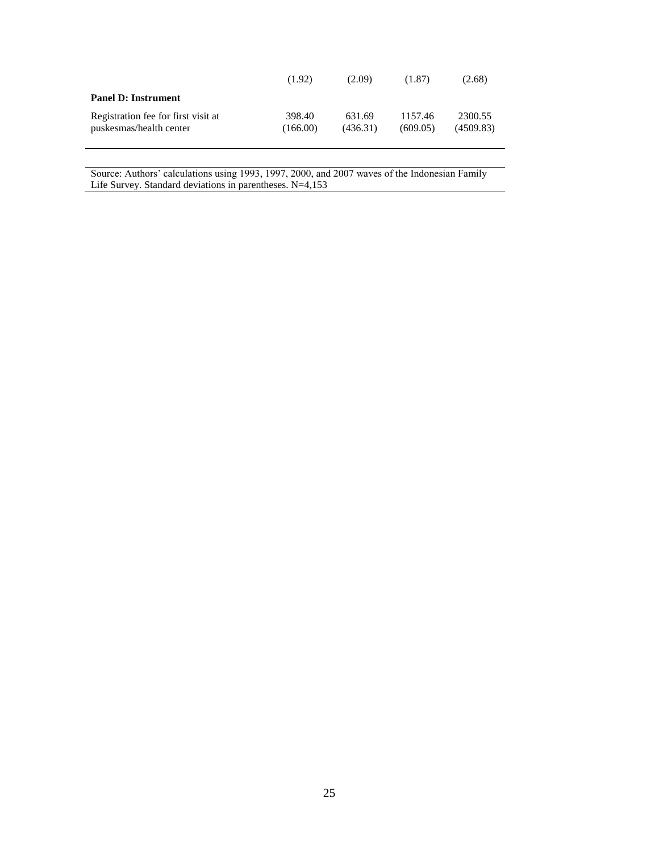|                                                                | (1.92)             | (2.09)             | (1.87)              | (2.68)               |
|----------------------------------------------------------------|--------------------|--------------------|---------------------|----------------------|
| <b>Panel D: Instrument</b>                                     |                    |                    |                     |                      |
| Registration fee for first visit at<br>puskesmas/health center | 398.40<br>(166.00) | 631.69<br>(436.31) | 1157.46<br>(609.05) | 2300.55<br>(4509.83) |

Source: Authors' calculations using 1993, 1997, 2000, and 2007 waves of the Indonesian Family Life Survey. Standard deviations in parentheses. N=4,153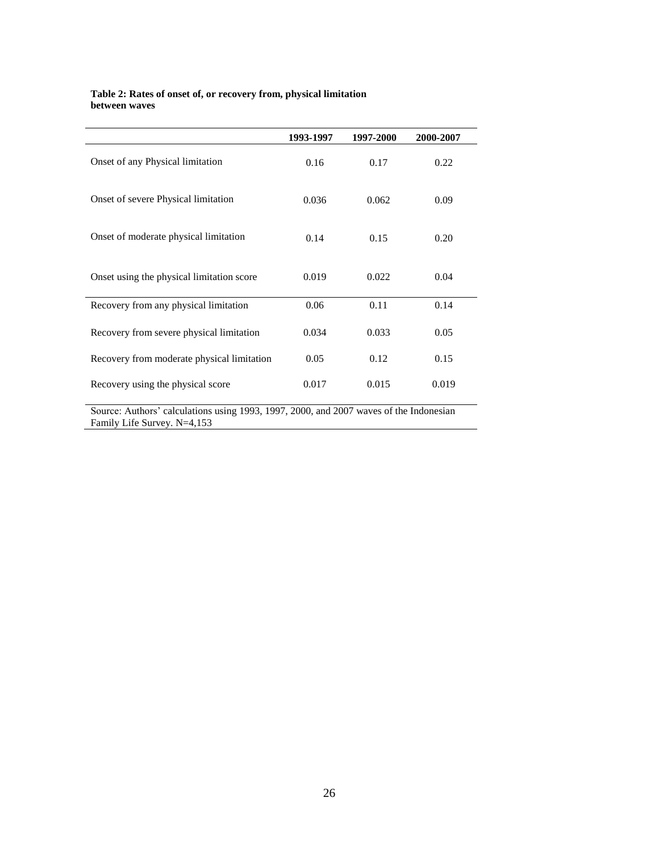#### **Table 2: Rates of onset of, or recovery from, physical limitation between waves**

|                                                                                                                       | 1993-1997 | 1997-2000 | 2000-2007 |
|-----------------------------------------------------------------------------------------------------------------------|-----------|-----------|-----------|
| Onset of any Physical limitation                                                                                      | 0.16      | 0.17      | 0.22      |
| Onset of severe Physical limitation                                                                                   | 0.036     | 0.062     | 0.09      |
| Onset of moderate physical limitation                                                                                 | 0.14      | 0.15      | 0.20      |
| Onset using the physical limitation score                                                                             | 0.019     | 0.022     | 0.04      |
| Recovery from any physical limitation                                                                                 | 0.06      | 0.11      | 0.14      |
| Recovery from severe physical limitation                                                                              | 0.034     | 0.033     | 0.05      |
| Recovery from moderate physical limitation                                                                            | 0.05      | 0.12      | 0.15      |
| Recovery using the physical score                                                                                     | 0.017     | 0.015     | 0.019     |
| Source: Authors' calculations using 1993, 1997, 2000, and 2007 waves of the Indonesian<br>Family Life Survey. N=4,153 |           |           |           |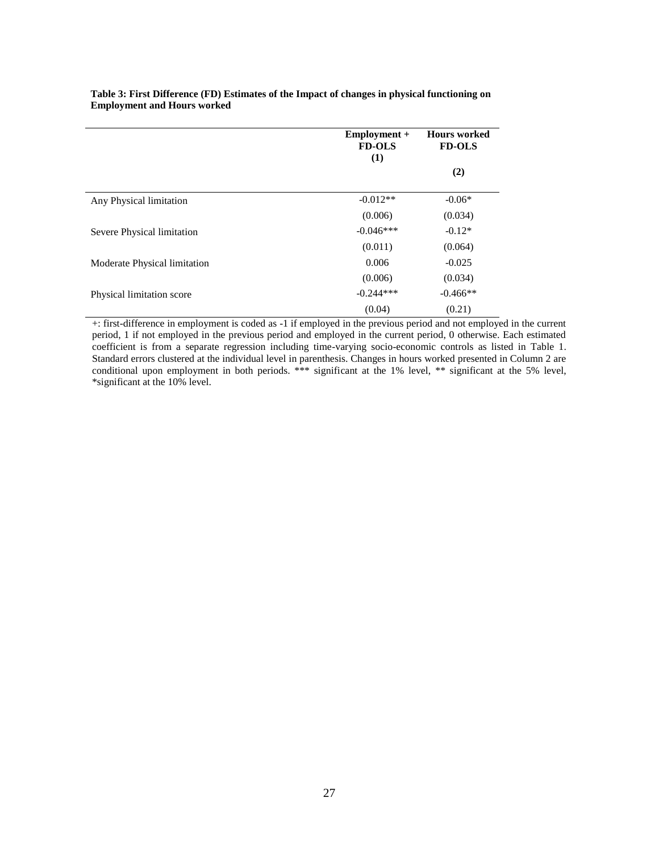|                                                                                 | Employment +<br><b>FD-OLS</b><br>(1)     | <b>Hours</b> worked<br><b>FD-OLS</b>                                |
|---------------------------------------------------------------------------------|------------------------------------------|---------------------------------------------------------------------|
|                                                                                 |                                          | (2)                                                                 |
| Any Physical limitation                                                         | $-0.012**$                               | $-0.06*$                                                            |
|                                                                                 | (0.006)                                  | (0.034)                                                             |
| Severe Physical limitation                                                      | $-0.046***$                              | $-0.12*$                                                            |
|                                                                                 | (0.011)                                  | (0.064)                                                             |
| Moderate Physical limitation                                                    | 0.006                                    | $-0.025$                                                            |
|                                                                                 | (0.006)                                  | (0.034)                                                             |
| Physical limitation score                                                       | $-0.244***$                              | $-0.466**$                                                          |
| $\bullet$<br>$\sim$ $\sim$<br>$\sim$<br>$\cdots$<br>$1 \quad 1$<br>$\mathbf{I}$ | (0.04)<br>$\blacksquare$<br>$\mathbf{1}$ | (0.21)<br>$\cdot$ $\cdot$ $\cdot$<br>$\mathbf{I}$<br>$\blacksquare$ |

#### **Table 3: First Difference (FD) Estimates of the Impact of changes in physical functioning on Employment and Hours worked**

+: first-difference in employment is coded as -1 if employed in the previous period and not employed in the current period, 1 if not employed in the previous period and employed in the current period, 0 otherwise. Each estimated coefficient is from a separate regression including time-varying socio-economic controls as listed in Table 1. Standard errors clustered at the individual level in parenthesis. Changes in hours worked presented in Column 2 are conditional upon employment in both periods. \*\*\* significant at the 1% level, \*\* significant at the 5% level, \*significant at the 10% level.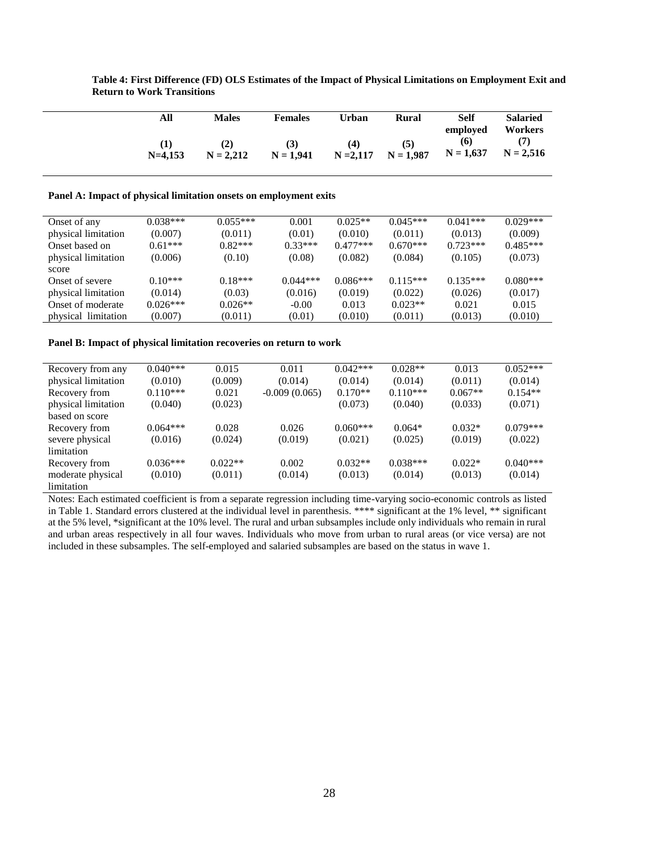|                                                                   | All        | <b>Males</b> | <b>Females</b> | Urban       | Rural       | Self<br>employed | <b>Salaried</b><br>Workers |
|-------------------------------------------------------------------|------------|--------------|----------------|-------------|-------------|------------------|----------------------------|
|                                                                   | (1)        | (2)          | (3)            | (4)         | (5)         | (6)              | (7)                        |
|                                                                   | $N=4,153$  | $N = 2,212$  | $N = 1,941$    | $N = 2,117$ | $N = 1,987$ | $N = 1,637$      | $N = 2,516$                |
| Panel A: Impact of physical limitation onsets on employment exits |            |              |                |             |             |                  |                            |
| Onset of any                                                      | $0.038***$ | $0.055***$   | 0.001          | $0.025**$   | $0.045***$  | $0.041***$       | $0.029***$                 |
| physical limitation                                               | (0.007)    | (0.011)      | (0.01)         | (0.010)     | (0.011)     | (0.013)          | (0.009)                    |
| Onset based on                                                    | $0.61***$  | $0.82***$    | $0.33***$      | $0.477***$  | $0.670***$  | $0.723***$       | $0.485***$                 |
| physical limitation                                               | (0.006)    | (0.10)       | (0.08)         | (0.082)     | (0.084)     | (0.105)          | (0.073)                    |
| score                                                             |            |              |                |             |             |                  |                            |
| Onset of severe                                                   | $0.10***$  | $0.18***$    | $0.044***$     | $0.086***$  | $0.115***$  | $0.135***$       | $0.080***$                 |
| physical limitation                                               | (0.014)    | (0.03)       | (0.016)        | (0.019)     | (0.022)     | (0.026)          | (0.017)                    |
| Onset of moderate                                                 | $0.026***$ | $0.026**$    | $-0.00$        | 0.013       | $0.023**$   | 0.021            | 0.015                      |
| physical limitation                                               | (0.007)    | (0.011)      | (0.01)         | (0.010)     | (0.011)     | (0.013)          | (0.010)                    |

**Table 4: First Difference (FD) OLS Estimates of the Impact of Physical Limitations on Employment Exit and Return to Work Transitions**

#### **Panel B: Impact of physical limitation recoveries on return to work**

| Recovery from any   | $0.040***$ | 0.015     | 0.011           | $0.042***$ | $0.028**$  | 0.013     | $0.052***$ |
|---------------------|------------|-----------|-----------------|------------|------------|-----------|------------|
| physical limitation | (0.010)    | (0.009)   | (0.014)         | (0.014)    | (0.014)    | (0.011)   | (0.014)    |
| Recovery from       | $0.110***$ | 0.021     | $-0.009(0.065)$ | $0.170**$  | $0.110***$ | $0.067**$ | $0.154**$  |
| physical limitation | (0.040)    | (0.023)   |                 | (0.073)    | (0.040)    | (0.033)   | (0.071)    |
| based on score      |            |           |                 |            |            |           |            |
| Recovery from       | $0.064***$ | 0.028     | 0.026           | $0.060***$ | $0.064*$   | $0.032*$  | $0.079***$ |
| severe physical     | (0.016)    | (0.024)   | (0.019)         | (0.021)    | (0.025)    | (0.019)   | (0.022)    |
| limitation          |            |           |                 |            |            |           |            |
| Recovery from       | $0.036***$ | $0.022**$ | 0.002           | $0.032**$  | $0.038***$ | $0.022*$  | $0.040***$ |
| moderate physical   | (0.010)    | (0.011)   | (0.014)         | (0.013)    | (0.014)    | (0.013)   | (0.014)    |
| limitation          |            |           |                 |            |            |           |            |

Notes: Each estimated coefficient is from a separate regression including time-varying socio-economic controls as listed in Table 1. Standard errors clustered at the individual level in parenthesis. \*\*\*\* significant at the 1% level, \*\* significant at the 5% level, \*significant at the 10% level. The rural and urban subsamples include only individuals who remain in rural and urban areas respectively in all four waves. Individuals who move from urban to rural areas (or vice versa) are not included in these subsamples. The self-employed and salaried subsamples are based on the status in wave 1.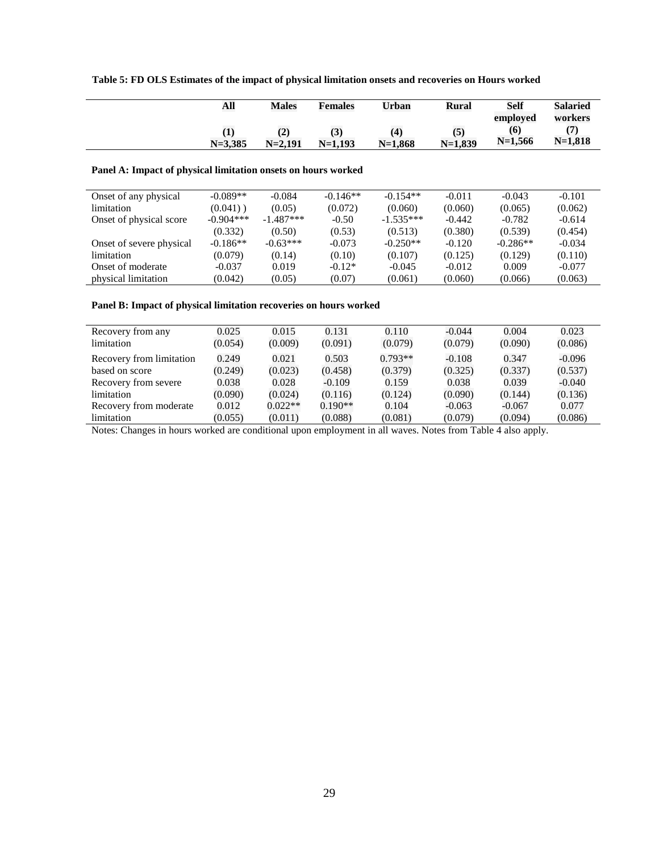|  |  |  |  | Table 5: FD OLS Estimates of the impact of physical limitation onsets and recoveries on Hours worked |  |
|--|--|--|--|------------------------------------------------------------------------------------------------------|--|
|--|--|--|--|------------------------------------------------------------------------------------------------------|--|

| All         | <b>Males</b> | <b>Females</b> | Urban            | Rural     | <b>Self</b> | <b>Salaried</b> |
|-------------|--------------|----------------|------------------|-----------|-------------|-----------------|
|             |              |                |                  |           | emploved    | workers         |
| $\bf{(1)}$  | <b>ΙΔ</b>    | (3)            | $\left(4\right)$ | (5)       | (6)         |                 |
| $N = 3.385$ | $N = 2.191$  | $N=1.193$      | $N=1.868$        | $N=1.839$ | $N=1,566$   | $N=1,818$       |
|             |              |                |                  |           |             |                 |

## **Panel A: Impact of physical limitation onsets on hours worked**

| Onset of any physical    | $-0.089**$  | $-0.084$    | $-0.146**$ | $-0.154**$  | $-0.011$ | $-0.043$   | $-0.101$ |
|--------------------------|-------------|-------------|------------|-------------|----------|------------|----------|
| limitation               | $(0.041)$ ) | (0.05)      | (0.072)    | (0.060)     | (0.060)  | (0.065)    | (0.062)  |
| Onset of physical score  | $-0.904***$ | $-1.487***$ | $-0.50$    | $-1.535***$ | $-0.442$ | $-0.782$   | $-0.614$ |
|                          | (0.332)     | (0.50)      | (0.53)     | (0.513)     | (0.380)  | (0.539)    | (0.454)  |
| Onset of severe physical | $-0.186**$  | $-0.63***$  | $-0.073$   | $-0.250**$  | $-0.120$ | $-0.286**$ | $-0.034$ |
| limitation               | (0.079)     | (0.14)      | (0.10)     | (0.107)     | (0.125)  | (0.129)    | (0.110)  |
| Onset of moderate        | $-0.037$    | 0.019       | $-0.12*$   | $-0.045$    | $-0.012$ | 0.009      | $-0.077$ |
| physical limitation      | (0.042)     | (0.05)      | (0.07)     | (0.061)     | (0.060)  | (0.066)    | (0.063)  |

## **Panel B: Impact of physical limitation recoveries on hours worked**

| Recovery from any        | 0.025   | 0.015     | 0.131     | 0.110     | $-0.044$ | 0.004    | 0.023    |
|--------------------------|---------|-----------|-----------|-----------|----------|----------|----------|
| limitation               | (0.054) | (0.009)   | (0.091)   | (0.079)   | (0.079)  | (0.090)  | (0.086)  |
| Recovery from limitation | 0.249   | 0.021     | 0.503     | $0.793**$ | $-0.108$ | 0.347    | $-0.096$ |
| based on score           | (0.249) | (0.023)   | (0.458)   | (0.379)   | (0.325)  | (0.337)  | (0.537)  |
| Recovery from severe     | 0.038   | 0.028     | $-0.109$  | 0.159     | 0.038    | 0.039    | $-0.040$ |
| limitation               | (0.090) | (0.024)   | (0.116)   | (0.124)   | (0.090)  | (0.144)  | (0.136)  |
| Recovery from moderate   | 0.012   | $0.022**$ | $0.190**$ | 0.104     | $-0.063$ | $-0.067$ | 0.077    |
| limitation               | (0.055) | (0.011)   | (0.088)   | (0.081)   | (0.079)  | (0.094)  | (0.086)  |

Notes: Changes in hours worked are conditional upon employment in all waves. Notes from Table 4 also apply.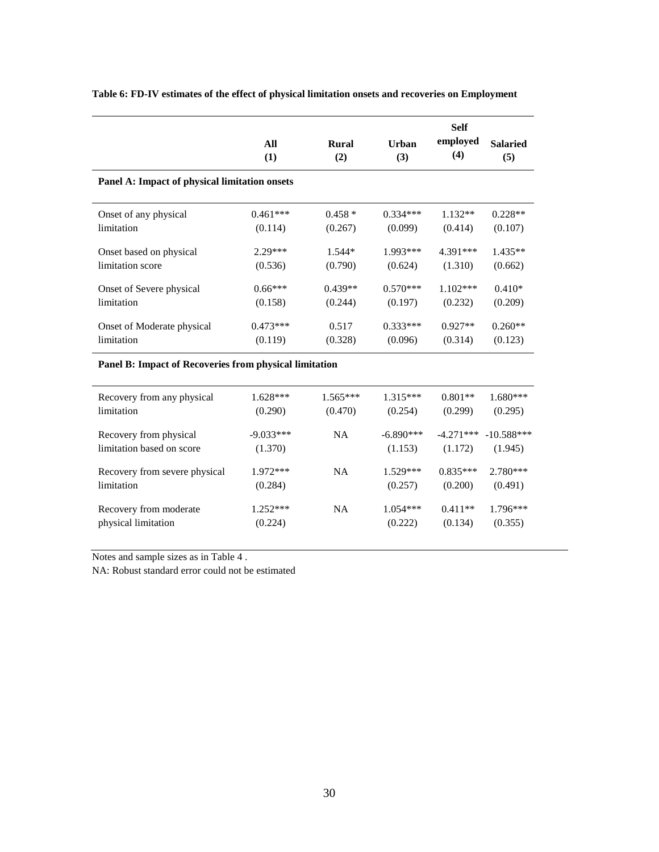|                                               | All<br>(1) | <b>Rural</b><br>(2) | Urban<br>(3) | <b>Self</b><br>employed<br>(4) | <b>Salaried</b><br>(5) |
|-----------------------------------------------|------------|---------------------|--------------|--------------------------------|------------------------|
| Panel A: Impact of physical limitation onsets |            |                     |              |                                |                        |
| Onset of any physical                         | $0.461***$ | $0.458*$            | $0.334***$   | $1.132**$                      | $0.228**$              |
| limitation                                    | (0.114)    | (0.267)             | (0.099)      | (0.414)                        | (0.107)                |
| Onset based on physical                       | $2.29***$  | $1.544*$            | $1.993***$   | 4.391***                       | $1.435**$              |
| limitation score                              | (0.536)    | (0.790)             | (0.624)      | (1.310)                        | (0.662)                |
| Onset of Severe physical                      | $0.66***$  | $0.439**$           | $0.570***$   | $1.102***$                     | $0.410*$               |
| limitation                                    | (0.158)    | (0.244)             | (0.197)      | (0.232)                        | (0.209)                |
| Onset of Moderate physical                    | $0.473***$ | 0.517               | $0.333***$   | $0.927**$                      | $0.260**$              |
| limitation                                    | (0.119)    | (0.328)             | (0.096)      | (0.314)                        | (0.123)                |

## **Table 6: FD-IV estimates of the effect of physical limitation onsets and recoveries on Employment**

## **Panel B: Impact of Recoveries from physical limitation**

| Recovery from any physical    | $1.628***$  | $1.565***$ | $1.315***$  | $0.801**$   | $1.680***$   |
|-------------------------------|-------------|------------|-------------|-------------|--------------|
| limitation                    | (0.290)     | (0.470)    | (0.254)     | (0.299)     | (0.295)      |
| Recovery from physical        | $-9.033***$ | <b>NA</b>  | $-6.890***$ | $-4.271***$ | $-10.588***$ |
| limitation based on score     | (1.370)     |            | (1.153)     | (1.172)     | (1.945)      |
| Recovery from severe physical | $1.972***$  | <b>NA</b>  | $1.529***$  | $0.835***$  | $2.780***$   |
| limitation                    | (0.284)     |            | (0.257)     | (0.200)     | (0.491)      |
| Recovery from moderate        | $1.252***$  | <b>NA</b>  | $1.054***$  | $0.411**$   | $1.796***$   |
| physical limitation           | (0.224)     |            | (0.222)     | (0.134)     | (0.355)      |

Notes and sample sizes as in Table 4 .

NA: Robust standard error could not be estimated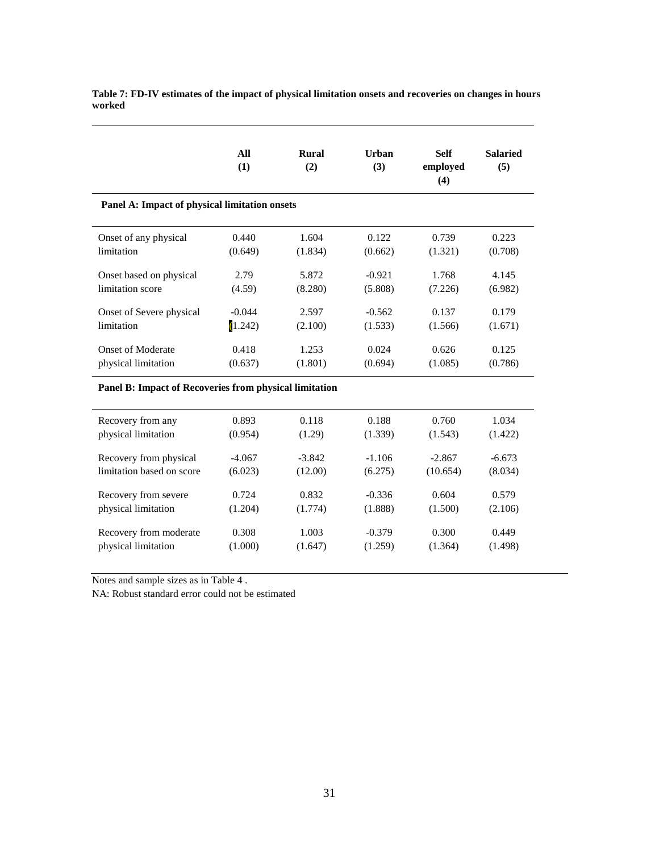|                                                               | All<br>(1) | Rural<br>(2) | Urban<br>(3) | <b>Self</b><br>employed<br>(4) | <b>Salaried</b><br>(5) |
|---------------------------------------------------------------|------------|--------------|--------------|--------------------------------|------------------------|
| Panel A: Impact of physical limitation onsets                 |            |              |              |                                |                        |
| Onset of any physical                                         | 0.440      | 1.604        | 0.122        | 0.739                          | 0.223                  |
| limitation                                                    | (0.649)    | (1.834)      | (0.662)      | (1.321)                        | (0.708)                |
| Onset based on physical                                       | 2.79       | 5.872        | $-0.921$     | 1.768                          | 4.145                  |
| limitation score                                              | (4.59)     | (8.280)      | (5.808)      | (7.226)                        | (6.982)                |
| Onset of Severe physical                                      | $-0.044$   | 2.597        | $-0.562$     | 0.137                          | 0.179                  |
| limitation                                                    | (1.242)    | (2.100)      | (1.533)      | (1.566)                        | (1.671)                |
| <b>Onset of Moderate</b>                                      | 0.418      | 1.253        | 0.024        | 0.626                          | 0.125                  |
| physical limitation                                           | (0.637)    | (1.801)      | (0.694)      | (1.085)                        | (0.786)                |
| <b>Panel B: Impact of Recoveries from physical limitation</b> |            |              |              |                                |                        |
| Recovery from any                                             | 0.893      | 0.118        | 0.188        | 0.760                          | 1.034                  |
| physical limitation                                           | (0.954)    | (1.29)       | (1.339)      | (1.543)                        | (1.422)                |
| Recovery from physical                                        | $-4.067$   | $-3.842$     | $-1.106$     | $-2.867$                       | $-6.673$               |
| limitation based on score                                     | (6.023)    | (12.00)      | (6.275)      | (10.654)                       | (8.034)                |
| Recovery from severe                                          | 0.724      | 0.832        | $-0.336$     | 0.604                          | 0.579                  |
| physical limitation                                           | (1.204)    | (1.774)      | (1.888)      | (1.500)                        | (2.106)                |

1.003 (1.647)

-0.379 (1.259)

0.300 (1.364)

0.449 (1.498)

**Table 7: FD-IV estimates of the impact of physical limitation onsets and recoveries on changes in hours worked**

Notes and sample sizes as in Table 4 .

Recovery from moderate physical limitation

NA: Robust standard error could not be estimated

0.308 (1.000)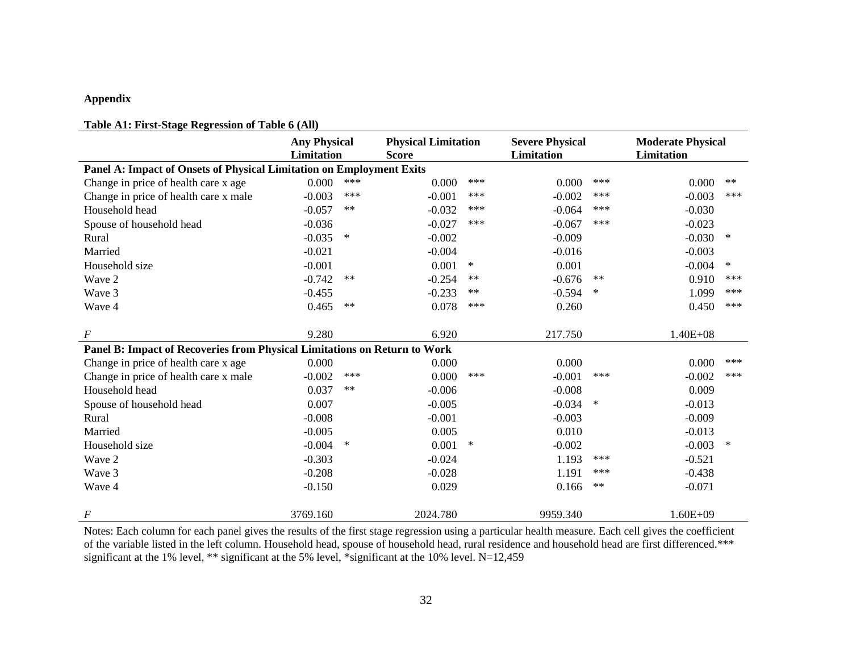## **Appendix**

## **Table A1: First-Stage Regression of Table 6 (All)**

|                                                                           | <b>Any Physical</b><br><b>Limitation</b> |            | <b>Physical Limitation</b><br><b>Score</b> |        | <b>Severe Physical</b><br><b>Limitation</b> |        | <b>Moderate Physical</b><br>Limitation |        |
|---------------------------------------------------------------------------|------------------------------------------|------------|--------------------------------------------|--------|---------------------------------------------|--------|----------------------------------------|--------|
| Panel A: Impact of Onsets of Physical Limitation on Employment Exits      |                                          |            |                                            |        |                                             |        |                                        |        |
| Change in price of health care x age                                      | 0.000                                    | $***$      | 0.000                                      | $***$  | 0.000                                       | ***    | 0.000                                  | $**$   |
| Change in price of health care x male                                     | $-0.003$                                 | $***$      | $-0.001$                                   | ***    | $-0.002$                                    | ***    | $-0.003$                               | ***    |
| Household head                                                            | $-0.057$                                 | $\ast\ast$ | $-0.032$                                   | ***    | $-0.064$                                    | ***    | $-0.030$                               |        |
| Spouse of household head                                                  | $-0.036$                                 |            | $-0.027$                                   | ***    | $-0.067$                                    | ***    | $-0.023$                               |        |
| Rural                                                                     | $-0.035$                                 | $\ast$     | $-0.002$                                   |        | $-0.009$                                    |        | $-0.030$                               | $\ast$ |
| Married                                                                   | $-0.021$                                 |            | $-0.004$                                   |        | $-0.016$                                    |        | $-0.003$                               |        |
| Household size                                                            | $-0.001$                                 |            | 0.001                                      | $\ast$ | 0.001                                       |        | $-0.004$                               | $\ast$ |
| Wave 2                                                                    | $-0.742$                                 | $***$      | $-0.254$                                   | $***$  | $-0.676$                                    | $***$  | 0.910                                  | ***    |
| Wave 3                                                                    | $-0.455$                                 |            | $-0.233$                                   | $***$  | $-0.594$                                    | $\ast$ | 1.099                                  | ***    |
| Wave 4                                                                    | 0.465                                    | $***$      | 0.078                                      | ***    | 0.260                                       |        | 0.450                                  | ***    |
|                                                                           |                                          |            |                                            |        |                                             |        |                                        |        |
| $\boldsymbol{F}$                                                          | 9.280                                    |            | 6.920                                      |        | 217.750                                     |        | $1.40E + 08$                           |        |
| Panel B: Impact of Recoveries from Physical Limitations on Return to Work |                                          |            |                                            |        |                                             |        |                                        |        |
| Change in price of health care x age                                      | 0.000                                    |            | 0.000                                      |        | 0.000                                       |        | 0.000                                  | ***    |
| Change in price of health care x male                                     | $-0.002$                                 | $***$      | 0.000                                      | ***    | $-0.001$                                    | ***    | $-0.002$                               | ***    |
| Household head                                                            | 0.037                                    | $***$      | $-0.006$                                   |        | $-0.008$                                    |        | 0.009                                  |        |
| Spouse of household head                                                  | 0.007                                    |            | $-0.005$                                   |        | $-0.034$                                    | $\ast$ | $-0.013$                               |        |
| Rural                                                                     | $-0.008$                                 |            | $-0.001$                                   |        | $-0.003$                                    |        | $-0.009$                               |        |
| Married                                                                   | $-0.005$                                 |            | 0.005                                      |        | 0.010                                       |        | $-0.013$                               |        |
| Household size                                                            | $-0.004$                                 | $\ast$     | 0.001                                      | $\ast$ | $-0.002$                                    |        | $-0.003$                               | $\ast$ |
| Wave 2                                                                    | $-0.303$                                 |            | $-0.024$                                   |        | 1.193                                       | ***    | $-0.521$                               |        |
| Wave 3                                                                    | $-0.208$                                 |            | $-0.028$                                   |        | 1.191                                       | ***    | $-0.438$                               |        |
| Wave 4                                                                    | $-0.150$                                 |            | 0.029                                      |        | 0.166                                       | $**$   | $-0.071$                               |        |
| $\boldsymbol{F}$                                                          | 3769.160                                 |            | 2024.780                                   |        | 9959.340                                    |        | $1.60E + 09$                           |        |

Notes: Each column for each panel gives the results of the first stage regression using a particular health measure. Each cell gives the coefficient of the variable listed in the left column. Household head, spouse of household head, rural residence and household head are first differenced.\*\*\* significant at the 1% level, \*\* significant at the 5% level, \*significant at the 10% level. N=12,459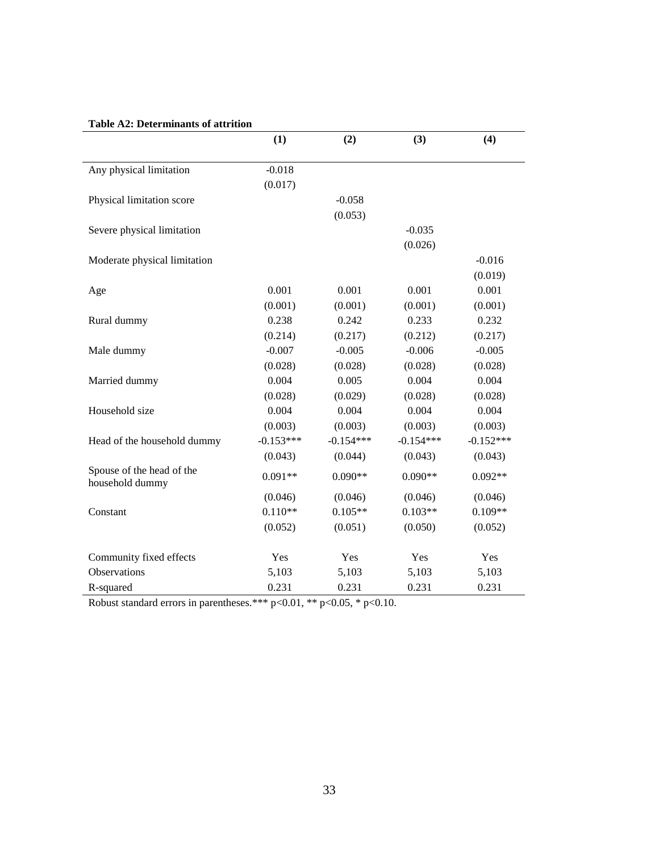# **Table A2: Determinants of attrition**

|                                              | (1)         | (2)         | (3)         | (4)         |
|----------------------------------------------|-------------|-------------|-------------|-------------|
|                                              |             |             |             |             |
| Any physical limitation                      | $-0.018$    |             |             |             |
|                                              | (0.017)     |             |             |             |
| Physical limitation score                    |             | $-0.058$    |             |             |
|                                              |             | (0.053)     |             |             |
| Severe physical limitation                   |             |             | $-0.035$    |             |
|                                              |             |             | (0.026)     |             |
| Moderate physical limitation                 |             |             |             | $-0.016$    |
|                                              |             |             |             | (0.019)     |
| Age                                          | 0.001       | 0.001       | 0.001       | 0.001       |
|                                              | (0.001)     | (0.001)     | (0.001)     | (0.001)     |
| Rural dummy                                  | 0.238       | 0.242       | 0.233       | 0.232       |
|                                              | (0.214)     | (0.217)     | (0.212)     | (0.217)     |
| Male dummy                                   | $-0.007$    | $-0.005$    | $-0.006$    | $-0.005$    |
|                                              | (0.028)     | (0.028)     | (0.028)     | (0.028)     |
| Married dummy                                | 0.004       | 0.005       | 0.004       | 0.004       |
|                                              | (0.028)     | (0.029)     | (0.028)     | (0.028)     |
| Household size                               | 0.004       | 0.004       | 0.004       | 0.004       |
|                                              | (0.003)     | (0.003)     | (0.003)     | (0.003)     |
| Head of the household dummy                  | $-0.153***$ | $-0.154***$ | $-0.154***$ | $-0.152***$ |
|                                              | (0.043)     | (0.044)     | (0.043)     | (0.043)     |
| Spouse of the head of the<br>household dummy | $0.091**$   | $0.090**$   | $0.090**$   | $0.092**$   |
|                                              | (0.046)     | (0.046)     | (0.046)     | (0.046)     |
| Constant                                     | $0.110**$   | $0.105**$   | $0.103**$   | $0.109**$   |
|                                              | (0.052)     | (0.051)     | (0.050)     | (0.052)     |
| Community fixed effects                      | Yes         | Yes         | Yes         | Yes         |
| Observations                                 | 5,103       | 5,103       | 5,103       | 5,103       |
| R-squared                                    | 0.231       | 0.231       | 0.231       | 0.231       |

Robust standard errors in parentheses.\*\*\*  $p<0.01$ , \*\*  $p<0.05$ , \*  $p<0.10$ .